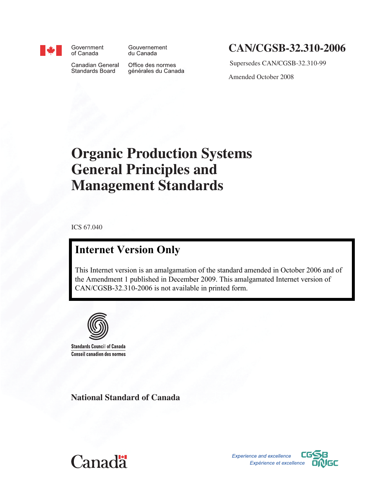

Government of Canada

Gouvernement du Canada

Canadian General **Standards Board** 

Office des normes générales du Canada

## **CAN/CGSB‑32.310-2006**

Supersedes CAN/CGSB-32.310-99

Amended October 2008

# **Organic Production Systems General Principles and Management Standards**

ICS 67.040

## **Internet Version Only**

This Internet version is an amalgamation of the standard amended in October 2006 and of the Amendment 1 published in December 2009. This amalgamated Internet version of CAN/CGSB-32.310-2006 is not available in printed form.



**Standards Council of Canada Conseil canadien des normes** 

**National Standard of Canada**



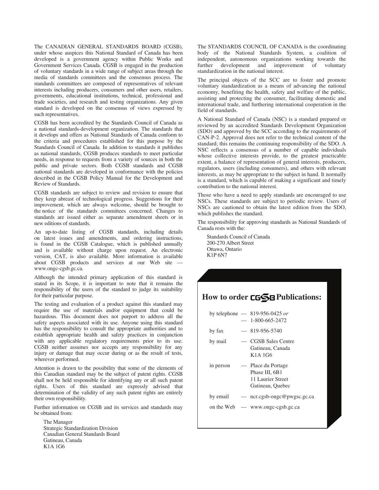The CANADIAN GENERAL STANDARDS BOARD (CGSB), under whose auspices this National Standard of Canada has been developed is a government agency within Public Works and Government Services Canada. CGSB is engaged in the production of voluntary standards in a wide range of subject areas through the media of standards committees and the consensus process. The standards committees are composed of representatives of relevant interests including producers, consumers and other users, retailers, governments, educational institutions, technical, professional and trade societies, and research and testing organizations. Any given standard is developed on the consensus of views expressed by such representatives.

CGSB has been accredited by the Standards Council of Canada as a national standards-development organization. The standards that it develops and offers as National Standards of Canada conform to the criteria and procedures established for this purpose by the Standards Council of Canada. In addition to standards it publishes as national standards, CGSB produces standards to meet particular needs, in response to requests from a variety of sources in both the public and private sectors. Both CGSB standards and CGSB national standards are developed in conformance with the policies described in the CGSB Policy Manual for the Development and Review of Standards.

CGSB standards are subject to review and revision to ensure that they keep abreast of technological progress. Suggestions for their improvement, which are always welcome, should be brought to the notice of the standards committees concerned. Changes to standards are issued either as separate amendment sheets or in new editions of standards.

An up-to-date listing of CGSB standards, including details on latest issues and amendments, and ordering instructions, is found in the CGSB Catalogue, which is published annually and is available without charge upon request. An electronic version, CAT, is also available. More information is available about CGSB products and services at our Web site www.ongc-cgsb.gc.ca.

Although the intended primary application of this standard is stated in its Scope, it is important to note that it remains the responsibility of the users of the standard to judge its suitability for their particular purpose.

The testing and evaluation of a product against this standard may require the use of materials and/or equipment that could be hazardous. This document does not purport to address all the safety aspects associated with its use. Anyone using this standard has the responsibility to consult the appropriate authorities and to establish appropriate health and safety practices in conjunction with any applicable regulatory requirements prior to its use. CGSB neither assumes nor accepts any responsibility for any injury or damage that may occur during or as the result of tests, wherever performed.

Attention is drawn to the possibility that some of the elements of this Canadian standard may be the subject of patent rights. CGSB shall not be held responsible for identifying any or all such patent rights. Users of this standard are expressly advised that determination of the validity of any such patent rights are entirely their own responsibility.

Further information on CGSB and its services and standards may be obtained from:

The Manager Strategic Standardization Division Canadian General Standards Board Gatineau, Canada K1A 1G6

The STANDARDS COUNCIL OF CANADA is the coordinating body of the National Standards System, a coalition of independent, autonomous organizations working towards the further development and improvement of voluntary standardization in the national interest.

The principal objects of the SCC are to foster and promote voluntary standardization as a means of advancing the national economy, benefiting the health, safety and welfare of the public, assisting and protecting the consumer, facilitating domestic and international trade, and furthering international cooperation in the field of standards.

A National Standard of Canada (NSC) is a standard prepared or reviewed by an accredited Standards Development Organization (SDO) and approved by the SCC according to the requirements of CAN-P-2. Approval does not refer to the technical content of the standard; this remains the continuing responsibility of the SDO. A NSC reflects a consensus of a number of capable individuals whose collective interests provide, to the greatest practicable extent, a balance of representation of general interests, producers, regulators, users (including consumers), and others with relevant interests, as may be appropriate to the subject in hand. It normally is a standard, which is capable of making a significant and timely contribution to the national interest.

Those who have a need to apply standards are encouraged to use NSCs. These standards are subject to periodic review. Users of NSCs are cautioned to obtain the latest edition from the SDO, which publishes the standard.

The responsibility for approving standards as National Standards of Canada rests with the:

Standards Council of Canada 200-270 Albert Street Ottawa, Ontario K1P 6N7

## **How to order CGSB Publications:**

|           | by telephone $-819-956-0425$ or<br>$-1-800-665-2472$                                    |
|-----------|-----------------------------------------------------------------------------------------|
| by fax    | $-819-956-5740$                                                                         |
| by mail   | — CGSB Sales Centre<br>Gatineau, Canada<br>K <sub>1</sub> A <sub>1</sub> G <sub>6</sub> |
| in person | — Place du Portage<br>Phase III, 6B1<br>11 Laurier Street<br>Gatineau, Ouebec           |
|           | by email $-$ ncr.cgsb-ongc@pwgsc.gc.ca                                                  |
|           | on the Web $-$ www.ongc-cgsb.gc.ca                                                      |
|           |                                                                                         |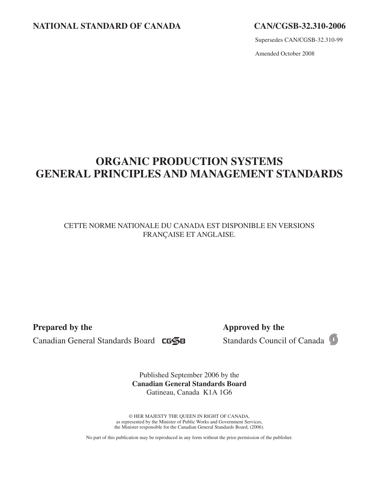## **NATIONAL STANDARD OF CANADA CAN/CGSB‑32.310-2006**

Supersedes CAN/CGSB-32.310-99

Amended October 2008

## **ORGANIC PRODUCTION SYSTEMS GENERAL PRINCIPLES AND MANAGEMENT STANDARDS**

CETTE NORME NATIONALE DU CANADA EST DISPONIBLE EN VERSIONS FRANÇAISE ET ANGLAISE.

**Prepared by the Approved by the** 

Canadian General Standards Board CGSB Standards Council of Canada 5

Published September 2006 by the **Canadian General Standards Board** Gatineau, Canada K1A 1G6

© HER MAJESTY THE QUEEN IN RIGHT OF CANADA, as represented by the Minister of Public Works and Government Services, the Minister responsible for the Canadian General Standards Board, (2006).

No part of this publication may be reproduced in any form without the prior permission of the publisher.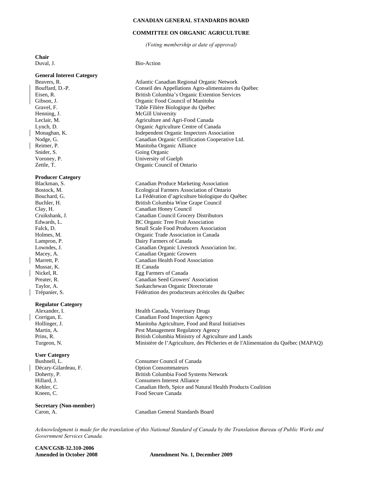#### **CANADIAN GENERAL STANDARDS BOARD**

#### **COMMITTEE ON ORGANIC AGRICULTURE**

*(Voting membership at date of approval)* 

**Chair** 

Duval, J. Bio-Action **General Interest Category**  Atlantic Canadian Regional Organic Network Bouffard, D.-P. Conseil des Appellations Agro-alimentaires du Québec Eisen, R. British Columbia's Organic Extention Services Gibson, J. Organic Food Council of Manitoba Gravel, F. Table Filière Biologique du Québec Henning, J. McGill University Leclair, M. Agriculture and Agri-Food Canada Lynch, D. Organic Agriculture Centre of Canada Monaghan, K. Independent Organic Inspectors Association Nodge, G. Canadian Organic Certification Cooperative Ltd. Reimer, P. Manitoba Organic Alliance Snider, S. Going Organic Voroney, P. University of Guelph Zettle, T. Organic Council of Ontario **Producer Category**  Canadian Produce Marketing Association Bostock, M. Ecological Farmers Association of Ontario Bouchard, G. La Fédération d'agriculture biologique du Québec Buchler, H. British Columbia Wine Grape Council Clay, H. Canadian Honey Council Cruikshank, J. Canadian Council Grocery Distributors Edwards, L. BC Organic Tree Fruit Association Falck, D. Small Scale Food Producers Association Holmes, M. Organic Trade Association in Canada Lampron, P. Dairy Farmers of Canada Lowndes, J. Canadian Organic Livestock Association Inc. Macey, A. Canadian Organic Growers<br>Marrett, P. Canadian Health Food Asso Canadian Health Food Association Mussar, K. IE Canada Nickel, R. Egg Farmers of Canada Preater, R. Canadian Seed Growers' Association Taylor, A. Saskatchewan Organic Directorate Trépanier, S. Fédération des producteurs acéricoles du Québec **Regulator Category**  Alexander, I. Health Canada, Veterinary Drugs Corrigan, E. Canadian Food Inspection Agency Hollinger, J. Manitoba Agriculture, Food and Rural Initiatives Martin, A. Pest Management Regulatory Agency Prins, R. British Columbia Ministry of Agriculture and Lands Turgeon, N. Ministère de l'Agriculture, des Pêcheries et de l'Alimentation du Québec (MAPAQ) **User Category**  Bushnell, L. Consumer Council of Canada Décary-Gilardeau, F. Option Consommateurs Doherty, P. British Columbia Food Systems Network Hillard, J. Consumers Interest Alliance Kehler, C. Canadian Herb, Spice and Natural Health Products Coalition Kneen, C. Food Secure Canada **Secretary (Non-member)**  Canadian General Standards Board

*Acknowledgment is made for the translation of this National Standard of Canada by the Translation Bureau of Public Works and Government Services Canada.* 

**CAN/CGSB-32.310-2006** 

Amended in October 2008 **Amendment No. 1, December 2009**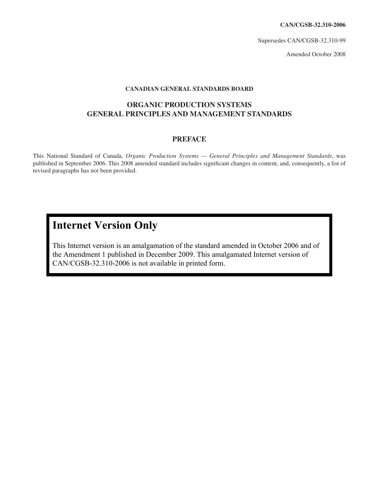**CAN/CGSB‑32.310-2006**

Supersedes CAN/CGSB-32.310-99

Amended October 2008

## **CANADIAN GENERAL STANDARDS BOARD**

## **ORGANIC PRODUCTION SYSTEMS GENERAL PRINCIPLES AND MANAGEMENT STANDARDS**

## **PREFACE**

This National Standard of Canada, *Organic Production Systems — General Principles and Management Standards*, was published in September 2006. This 2008 amended standard includes significant changes in content, and, consequently, a list of revised paragraphs has not been provided.

## **Internet Version Only**

This Internet version is an amalgamation of the standard amended in October 2006 and of the Amendment 1 published in December 2009. This amalgamated Internet version of CAN/CGSB-32.310-2006 is not available in printed form.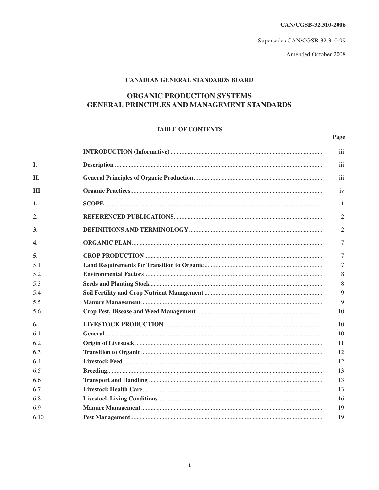CAN/CGSB-32.310-2006

Supersedes CAN/CGSB-32.310-99

Amended October 2008

Page

## **CANADIAN GENERAL STANDARDS BOARD**

## **ORGANIC PRODUCTION SYSTEMS GENERAL PRINCIPLES AND MANAGEMENT STANDARDS**

## **TABLE OF CONTENTS**

|      | iii            |
|------|----------------|
| I.   | iii            |
| II.  | iii            |
| III. | iv             |
| 1.   | 1              |
| 2.   | $\overline{2}$ |
| 3.   | $\overline{2}$ |
| 4.   | $\tau$         |
| 5.   | 7              |
| 5.1  | 7              |
| 5.2  | 8              |
| 5.3  | 8              |
| 5.4  | 9              |
| 5.5  | 9              |
| 5.6  | 10             |
| 6.   | 10             |
| 6.1  | 10             |
| 6.2  | 11             |
| 6.3  | 12             |
| 6.4  | 12             |
| 6.5  | 13             |
| 6.6  | 13             |
| 6.7  | 13             |
| 6.8  | 16             |
| 6.9  | 19             |
| 6.10 | 19             |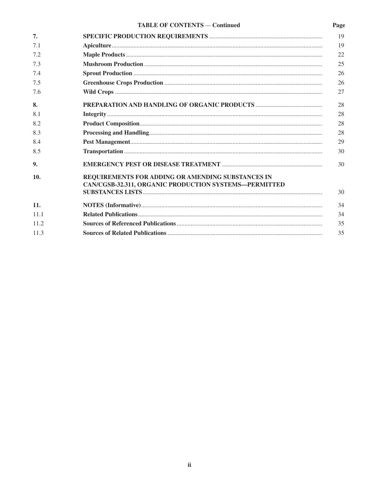## TABLE OF CONTENTS - Continued

Page

| 7.   |                                                                                                            | 19 |
|------|------------------------------------------------------------------------------------------------------------|----|
| 7.1  |                                                                                                            | 19 |
| 7.2  |                                                                                                            | 22 |
| 7.3  |                                                                                                            | 25 |
| 7.4  |                                                                                                            | 26 |
| 7.5  |                                                                                                            | 26 |
| 7.6  |                                                                                                            | 27 |
| 8.   |                                                                                                            | 28 |
| 8.1  |                                                                                                            | 28 |
| 8.2  |                                                                                                            | 28 |
| 8.3  |                                                                                                            | 28 |
| 8.4  |                                                                                                            | 29 |
| 8.5  |                                                                                                            | 30 |
| 9.   |                                                                                                            | 30 |
| 10.  | REQUIREMENTS FOR ADDING OR AMENDING SUBSTANCES IN<br>CAN/CGSB-32.311, ORGANIC PRODUCTION SYSTEMS-PERMITTED | 30 |
| 11.  |                                                                                                            | 34 |
| 11.1 |                                                                                                            | 34 |
| 11.2 |                                                                                                            | 35 |
| 11.3 |                                                                                                            | 35 |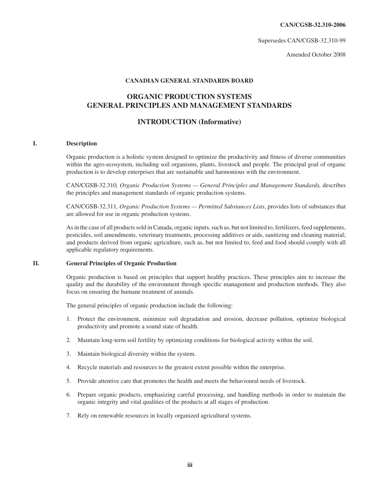**CAN/CGSB‑32.310-2006**

Supersedes CAN/CGSB-32.310-99

Amended October 2008

#### **CANADIAN GENERAL STANDARDS BOARD**

## **ORGANIC PRODUCTION SYSTEMS GENERAL PRINCIPLES AND MANAGEMENT STANDARDS**

## **INTRODUCTION (Informative)**

## **I. Description**

Organic production is a holistic system designed to optimize the productivity and fitness of diverse communities within the agro-ecosystem, including soil organisms, plants, livestock and people. The principal goal of organic production is to develop enterprises that are sustainable and harmonious with the environment.

CAN/CGSB-32.310*, Organic Production Systems — General Principles and Management Standards,* describes the principles and management standards of organic production systems.

CAN/CGSB-32.311*, Organic Production Systems — Permitted Substances Lists*, provides lists of substances that are allowed for use in organic production systems.

As in the case of all products sold in Canada, organic inputs, such as, but not limited to, fertilizers, feed supplements, pesticides, soil amendments, veterinary treatments, processing additives or aids, sanitizing and cleaning material; and products derived from organic agriculture, such as, but not limited to, feed and food should comply with all applicable regulatory requirements.

#### **II. General Principles of Organic Production**

Organic production is based on principles that support healthy practices. These principles aim to increase the quality and the durability of the environment through specific management and production methods. They also focus on ensuring the humane treatment of animals.

The general principles of organic production include the following:

- 1. Protect the environment, minimize soil degradation and erosion, decrease pollution, optimize biological productivity and promote a sound state of health.
- 2. Maintain long-term soil fertility by optimizing conditions for biological activity within the soil.
- 3. Maintain biological diversity within the system.
- 4. Recycle materials and resources to the greatest extent possible within the enterprise.
- 5. Provide attentive care that promotes the health and meets the behavioural needs of livestock.
- 6. Prepare organic products, emphasizing careful processing, and handling methods in order to maintain the organic integrity and vital qualities of the products at all stages of production.
- 7. Rely on renewable resources in locally organized agricultural systems.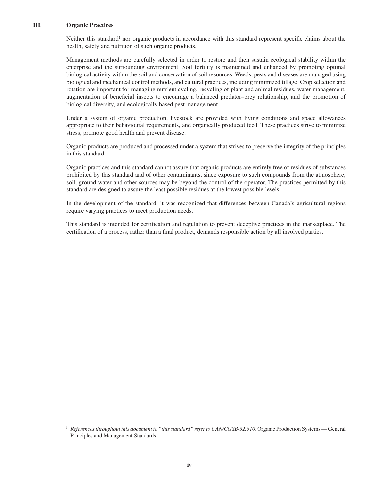## **III. Organic Practices**

Neither this standard<sup>1</sup> nor organic products in accordance with this standard represent specific claims about the health, safety and nutrition of such organic products.

Management methods are carefully selected in order to restore and then sustain ecological stability within the enterprise and the surrounding environment. Soil fertility is maintained and enhanced by promoting optimal biological activity within the soil and conservation of soil resources. Weeds, pests and diseases are managed using biological and mechanical control methods, and cultural practices, including minimized tillage. Crop selection and rotation are important for managing nutrient cycling, recycling of plant and animal residues, water management, augmentation of beneficial insects to encourage a balanced predator–prey relationship, and the promotion of biological diversity, and ecologically based pest management.

Under a system of organic production, livestock are provided with living conditions and space allowances appropriate to their behavioural requirements, and organically produced feed. These practices strive to minimize stress, promote good health and prevent disease.

Organic products are produced and processed under a system that strives to preserve the integrity of the principles in this standard.

Organic practices and this standard cannot assure that organic products are entirely free of residues of substances prohibited by this standard and of other contaminants, since exposure to such compounds from the atmosphere, soil, ground water and other sources may be beyond the control of the operator. The practices permitted by this standard are designed to assure the least possible residues at the lowest possible levels.

In the development of the standard, it was recognized that differences between Canada's agricultural regions require varying practices to meet production needs.

This standard is intended for certification and regulation to prevent deceptive practices in the marketplace. The certification of a process, rather than a final product, demands responsible action by all involved parties.

<sup>1</sup> *References throughout this document to "this standard" refer to CAN/CGSB-32.310,* Organic Production Systems — General Principles and Management Standards.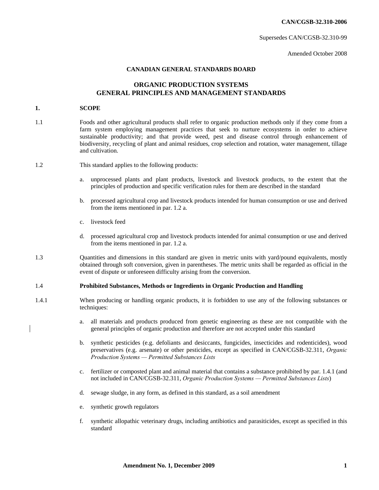**CAN/CGSB-32.310-2006** 

Supersedes CAN/CGSB-32.310-99

Amended October 2008

## **CANADIAN GENERAL STANDARDS BOARD**

## **ORGANIC PRODUCTION SYSTEMS GENERAL PRINCIPLES AND MANAGEMENT STANDARDS**

#### **1. SCOPE**

 $\overline{\phantom{a}}$ 

| 1.1                                                                             | Foods and other agricultural products shall refer to organic production methods only if they come from a<br>farm system employing management practices that seek to nurture ecosystems in order to achieve<br>sustainable productivity; and that provide weed, pest and disease control through enhancement of<br>biodiversity, recycling of plant and animal residues, crop selection and rotation, water management, tillage<br>and cultivation. |  |  |  |
|---------------------------------------------------------------------------------|----------------------------------------------------------------------------------------------------------------------------------------------------------------------------------------------------------------------------------------------------------------------------------------------------------------------------------------------------------------------------------------------------------------------------------------------------|--|--|--|
| 1.2                                                                             | This standard applies to the following products:                                                                                                                                                                                                                                                                                                                                                                                                   |  |  |  |
|                                                                                 | unprocessed plants and plant products, livestock and livestock products, to the extent that the<br>a.<br>principles of production and specific verification rules for them are described in the standard                                                                                                                                                                                                                                           |  |  |  |
|                                                                                 | processed agricultural crop and livestock products intended for human consumption or use and derived<br>b.<br>from the items mentioned in par. 1.2 a.                                                                                                                                                                                                                                                                                              |  |  |  |
|                                                                                 | livestock feed<br>C <sub>1</sub>                                                                                                                                                                                                                                                                                                                                                                                                                   |  |  |  |
|                                                                                 | processed agricultural crop and livestock products intended for animal consumption or use and derived<br>d.<br>from the items mentioned in par. 1.2 a.                                                                                                                                                                                                                                                                                             |  |  |  |
| 1.3                                                                             | Quantities and dimensions in this standard are given in metric units with yard/pound equivalents, mostly<br>obtained through soft conversion, given in parentheses. The metric units shall be regarded as official in the<br>event of dispute or unforeseen difficulty arising from the conversion.                                                                                                                                                |  |  |  |
| 1.4                                                                             | Prohibited Substances, Methods or Ingredients in Organic Production and Handling                                                                                                                                                                                                                                                                                                                                                                   |  |  |  |
| 1.4.1                                                                           | When producing or handling organic products, it is forbidden to use any of the following substances or<br>techniques:                                                                                                                                                                                                                                                                                                                              |  |  |  |
|                                                                                 | all materials and products produced from genetic engineering as these are not compatible with the<br>a.<br>general principles of organic production and therefore are not accepted under this standard                                                                                                                                                                                                                                             |  |  |  |
|                                                                                 | synthetic pesticides (e.g. defoliants and desiccants, fungicides, insecticides and rodenticides), wood<br>b.<br>preservatives (e.g. arsenate) or other pesticides, except as specified in CAN/CGSB-32.311, Organic<br>Production Systems - Permitted Substances Lists                                                                                                                                                                              |  |  |  |
|                                                                                 | fertilizer or composted plant and animal material that contains a substance prohibited by par. 1.4.1 (and<br>c.<br>not included in CAN/CGSB-32.311, Organic Production Systems - Permitted Substances Lists)                                                                                                                                                                                                                                       |  |  |  |
| d. sewage sludge, in any form, as defined in this standard, as a soil amendment |                                                                                                                                                                                                                                                                                                                                                                                                                                                    |  |  |  |

- e. synthetic growth regulators
- f. synthetic allopathic veterinary drugs, including antibiotics and parasiticides, except as specified in this standard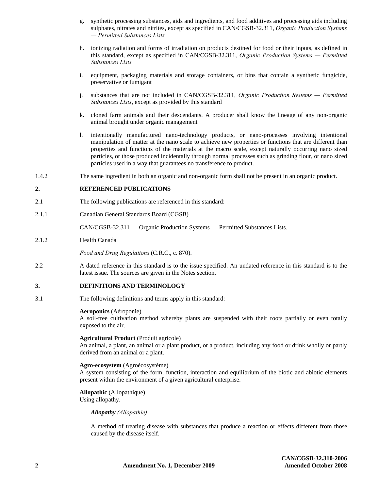- g. synthetic processing substances, aids and ingredients, and food additives and processing aids including sulphates, nitrates and nitrites, except as specified in CAN/CGSB-32.311, *Organic Production Systems — Permitted Substances Lists*
- h. ionizing radiation and forms of irradiation on products destined for food or their inputs, as defined in this standard, except as specified in CAN/CGSB-32.311, *Organic Production Systems — Permitted Substances Lists*
- i. equipment, packaging materials and storage containers, or bins that contain a synthetic fungicide, preservative or fumigant
- j. substances that are not included in CAN/CGSB-32.311, *Organic Production Systems — Permitted Substances Lists*, except as provided by this standard
- k. cloned farm animals and their descendants. A producer shall know the lineage of any non-organic animal brought under organic management
- l. intentionally manufactured nano-technology products, or nano-processes involving intentional manipulation of matter at the nano scale to achieve new properties or functions that are different than properties and functions of the materials at the macro scale, except naturally occurring nano sized particles, or those produced incidentally through normal processes such as grinding flour, or nano sized particles used in a way that guarantees no transference to product.
- 1.4.2 The same ingredient in both an organic and non-organic form shall not be present in an organic product.

#### **2. REFERENCED PUBLICATIONS**

- 2.1 The following publications are referenced in this standard:
- 2.1.1 Canadian General Standards Board (CGSB)

CAN/CGSB-32.311 — Organic Production Systems — Permitted Substances Lists.

2.1.2 Health Canada

*Food and Drug Regulations* (C.R.C., c. 870).

2.2 A dated reference in this standard is to the issue specified. An undated reference in this standard is to the latest issue. The sources are given in the Notes section.

#### **3. DEFINITIONS AND TERMINOLOGY**

3.1 The following definitions and terms apply in this standard:

#### **Aeroponics** (Aéroponie)

A soil-free cultivation method whereby plants are suspended with their roots partially or even totally exposed to the air.

#### **Agricultural Product** (Produit agricole)

An animal, a plant, an animal or a plant product, or a product, including any food or drink wholly or partly derived from an animal or a plant.

#### **Agro-ecosystem** (Agroécosystème)

A system consisting of the form, function, interaction and equilibrium of the biotic and abiotic elements present within the environment of a given agricultural enterprise.

#### **Allopathic** (Allopathique) Using allopathy.

*Allopathy (Allopathie)* 

A method of treating disease with substances that produce a reaction or effects different from those caused by the disease itself.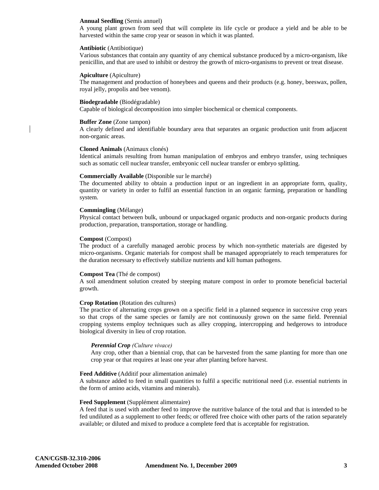#### **Annual Seedling** (Semis annuel)

A young plant grown from seed that will complete its life cycle or produce a yield and be able to be harvested within the same crop year or season in which it was planted.

#### **Antibiotic** (Antibiotique)

Various substances that contain any quantity of any chemical substance produced by a micro-organism, like penicillin, and that are used to inhibit or destroy the growth of micro-organisms to prevent or treat disease.

#### **Apiculture** (Apiculture)

The management and production of honeybees and queens and their products (e.g. honey, beeswax, pollen, royal jelly, propolis and bee venom).

#### **Biodegradable** (Biodégradable)

Capable of biological decomposition into simpler biochemical or chemical components.

#### **Buffer Zone** (Zone tampon)

A clearly defined and identifiable boundary area that separates an organic production unit from adjacent non-organic areas.

#### **Cloned Animals** (Animaux clonés)

Identical animals resulting from human manipulation of embryos and embryo transfer, using techniques such as somatic cell nuclear transfer, embryonic cell nuclear transfer or embryo splitting.

#### **Commercially Available** (Disponible sur le marché)

The documented ability to obtain a production input or an ingredient in an appropriate form, quality, quantity or variety in order to fulfil an essential function in an organic farming, preparation or handling system.

#### **Commingling** (Mélange)

Physical contact between bulk, unbound or unpackaged organic products and non-organic products during production, preparation, transportation, storage or handling.

#### **Compost** (Compost)

The product of a carefully managed aerobic process by which non-synthetic materials are digested by micro-organisms. Organic materials for compost shall be managed appropriately to reach temperatures for the duration necessary to effectively stabilize nutrients and kill human pathogens.

#### **Compost Tea** (Thé de compost)

A soil amendment solution created by steeping mature compost in order to promote beneficial bacterial growth.

#### **Crop Rotation** (Rotation des cultures)

The practice of alternating crops grown on a specific field in a planned sequence in successive crop years so that crops of the same species or family are not continuously grown on the same field. Perennial cropping systems employ techniques such as alley cropping, intercropping and hedgerows to introduce biological diversity in lieu of crop rotation.

#### *Perennial Crop (Culture vivace)*

Any crop, other than a biennial crop, that can be harvested from the same planting for more than one crop year or that requires at least one year after planting before harvest.

#### **Feed Additive** (Additif pour alimentation animale)

A substance added to feed in small quantities to fulfil a specific nutritional need (i.e. essential nutrients in the form of amino acids, vitamins and minerals).

#### **Feed Supplement** (Supplément alimentaire)

A feed that is used with another feed to improve the nutritive balance of the total and that is intended to be fed undiluted as a supplement to other feeds; or offered free choice with other parts of the ration separately available; or diluted and mixed to produce a complete feed that is acceptable for registration.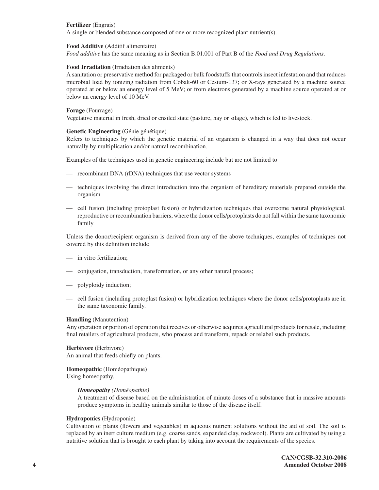## **Fertilizer** (Engrais)

A single or blended substance composed of one or more recognized plant nutrient(s).

### **Food Additive** (Additif alimentaire)

*Food additive* has the same meaning as in Section B.01.001 of Part B of the *Food and Drug Regulations*.

## **Food Irradiation** (Irradiation des aliments)

A sanitation or preservative method for packaged or bulk foodstuffs that controls insect infestation and that reduces microbial load by ionizing radiation from Cobalt-60 or Cesium-137; or X-rays generated by a machine source operated at or below an energy level of 5 MeV; or from electrons generated by a machine source operated at or below an energy level of 10 MeV.

### **Forage** (Fourrage)

Vegetative material in fresh, dried or ensiled state (pasture, hay or silage), which is fed to livestock.

## **Genetic Engineering** (Génie génétique)

Refers to techniques by which the genetic material of an organism is changed in a way that does not occur naturally by multiplication and/or natural recombination.

Examples of the techniques used in genetic engineering include but are not limited to

- recombinant DNA (rDNA) techniques that use vector systems
- techniques involving the direct introduction into the organism of hereditary materials prepared outside the organism
- cell fusion (including protoplast fusion) or hybridization techniques that overcome natural physiological, reproductive or recombination barriers, where the donor cells/protoplasts do not fall within the same taxonomic family

Unless the donor/recipient organism is derived from any of the above techniques, examples of techniques not covered by this definition include

- in vitro fertilization;
- conjugation, transduction, transformation, or any other natural process;
- polyploidy induction;
- cell fusion (including protoplast fusion) or hybridization techniques where the donor cells/protoplasts are in the same taxonomic family.

#### **Handling** (Manutention)

Any operation or portion of operation that receives or otherwise acquires agricultural products for resale, including final retailers of agricultural products, who process and transform, repack or relabel such products.

**Herbivore** (Herbivore) An animal that feeds chiefly on plants.

## **Homeopathic** (Homéopathique) Using homeopathy.

#### *Homeopathy (Homéopathie)*

 A treatment of disease based on the administration of minute doses of a substance that in massive amounts produce symptoms in healthy animals similar to those of the disease itself.

#### **Hydroponics** (Hydroponie)

Cultivation of plants (flowers and vegetables) in aqueous nutrient solutions without the aid of soil. The soil is replaced by an inert culture medium (e.g. coarse sands, expanded clay, rockwool). Plants are cultivated by using a nutritive solution that is brought to each plant by taking into account the requirements of the species.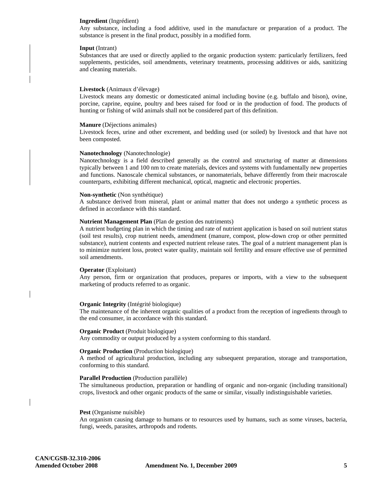#### **Ingredient** (Ingrédient)

Any substance, including a food additive, used in the manufacture or preparation of a product. The substance is present in the final product, possibly in a modified form.

#### **Input** (Intrant)

Substances that are used or directly applied to the organic production system: particularly fertilizers, feed supplements, pesticides, soil amendments, veterinary treatments, processing additives or aids, sanitizing and cleaning materials.

#### **Livestock** (Animaux d'élevage)

Livestock means any domestic or domesticated animal including bovine (e.g. buffalo and bison), ovine, porcine, caprine, equine, poultry and bees raised for food or in the production of food. The products of hunting or fishing of wild animals shall not be considered part of this definition.

#### **Manure** (Déjections animales)

Livestock feces, urine and other excrement, and bedding used (or soiled) by livestock and that have not been composted.

#### **Nanotechnology** (Nanotechnologie)

Nanotechnology is a field described generally as the control and structuring of matter at dimensions typically between 1 and 100 nm to create materials, devices and systems with fundamentally new properties and functions. Nanoscale chemical substances, or nanomaterials, behave differently from their macroscale counterparts, exhibiting different mechanical, optical, magnetic and electronic properties.

#### **Non-synthetic** (Non synthétique)

A substance derived from mineral, plant or animal matter that does not undergo a synthetic process as defined in accordance with this standard.

#### **Nutrient Management Plan** (Plan de gestion des nutriments)

A nutrient budgeting plan in which the timing and rate of nutrient application is based on soil nutrient status (soil test results), crop nutrient needs, amendment (manure, compost, plow-down crop or other permitted substance), nutrient contents and expected nutrient release rates. The goal of a nutrient management plan is to minimize nutrient loss, protect water quality, maintain soil fertility and ensure effective use of permitted soil amendments.

#### **Operator** (Exploitant)

Any person, firm or organization that produces, prepares or imports, with a view to the subsequent marketing of products referred to as organic.

#### **Organic Integrity** (Intégrité biologique)

The maintenance of the inherent organic qualities of a product from the reception of ingredients through to the end consumer, in accordance with this standard.

#### **Organic Product** (Produit biologique)

Any commodity or output produced by a system conforming to this standard.

#### **Organic Production** (Production biologique)

A method of agricultural production, including any subsequent preparation, storage and transportation, conforming to this standard.

#### **Parallel Production** (Production parallèle)

The simultaneous production, preparation or handling of organic and non-organic (including transitional) crops, livestock and other organic products of the same or similar, visually indistinguishable varieties.

#### **Pest** (Organisme nuisible)

An organism causing damage to humans or to resources used by humans, such as some viruses, bacteria, fungi, weeds, parasites, arthropods and rodents.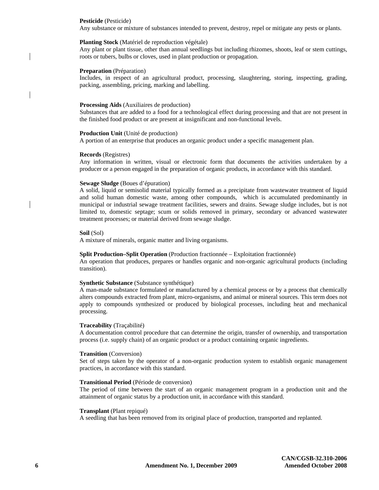#### **Pesticide** (Pesticide)

Any substance or mixture of substances intended to prevent, destroy, repel or mitigate any pests or plants.

#### **Planting Stock** (Matériel de reproduction végétale)

Any plant or plant tissue, other than annual seedlings but including rhizomes, shoots, leaf or stem cuttings, roots or tubers, bulbs or cloves, used in plant production or propagation.

#### **Preparation** (Préparation)

Includes, in respect of an agricultural product, processing, slaughtering, storing, inspecting, grading, packing, assembling, pricing, marking and labelling.

#### **Processing Aids** (Auxiliaires de production)

Substances that are added to a food for a technological effect during processing and that are not present in the finished food product or are present at insignificant and non-functional levels.

#### **Production Unit** (Unité de production)

A portion of an enterprise that produces an organic product under a specific management plan.

#### **Records** (Registres)

Any information in written, visual or electronic form that documents the activities undertaken by a producer or a person engaged in the preparation of organic products, in accordance with this standard.

#### **Sewage Sludge** (Boues d'épuration)

A solid, liquid or semisolid material typically formed as a precipitate from wastewater treatment of liquid and solid human domestic waste, among other compounds, which is accumulated predominantly in municipal or industrial sewage treatment facilities, sewers and drains. Sewage sludge includes, but is not limited to, domestic septage; scum or solids removed in primary, secondary or advanced wastewater treatment processes; or material derived from sewage sludge.

#### **Soil** (Sol)

A mixture of minerals, organic matter and living organisms.

#### **Split Production–Split Operation** (Production fractionnée – Exploitation fractionnée)

An operation that produces, prepares or handles organic and non-organic agricultural products (including transition).

#### **Synthetic Substance** (Substance synthétique)

A man-made substance formulated or manufactured by a chemical process or by a process that chemically alters compounds extracted from plant, micro-organisms, and animal or mineral sources. This term does not apply to compounds synthesized or produced by biological processes, including heat and mechanical processing.

#### **Traceability** (Traçabilité)

A documentation control procedure that can determine the origin, transfer of ownership, and transportation process (i.e. supply chain) of an organic product or a product containing organic ingredients.

#### **Transition** (Conversion)

Set of steps taken by the operator of a non-organic production system to establish organic management practices, in accordance with this standard.

#### **Transitional Period** (Période de conversion)

The period of time between the start of an organic management program in a production unit and the attainment of organic status by a production unit, in accordance with this standard.

#### **Transplant** (Plant repiqué)

A seedling that has been removed from its original place of production, transported and replanted.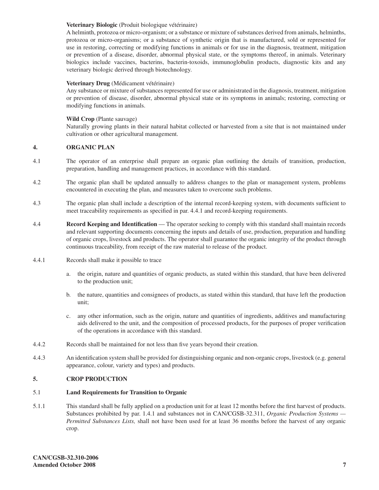## **Veterinary Biologic** (Produit biologique vétérinaire)

A helminth, protozoa or micro-organism; or a substance or mixture of substances derived from animals, helminths, protozoa or micro-organisms; or a substance of synthetic origin that is manufactured, sold or represented for use in restoring, correcting or modifying functions in animals or for use in the diagnosis, treatment, mitigation or prevention of a disease, disorder, abnormal physical state, or the symptoms thereof, in animals. Veterinary biologics include vaccines, bacterins, bacterin-toxoids, immunoglobulin products, diagnostic kits and any veterinary biologic derived through biotechnology.

## **Veterinary Drug** (Médicament vétérinaire)

Any substance or mixture of substances represented for use or administrated in the diagnosis, treatment, mitigation or prevention of disease, disorder, abnormal physical state or its symptoms in animals; restoring, correcting or modifying functions in animals.

## **Wild Crop** (Plante sauvage)

Naturally growing plants in their natural habitat collected or harvested from a site that is not maintained under cultivation or other agricultural management.

## **4. ORGANIC PLAN**

- 4.1 The operator of an enterprise shall prepare an organic plan outlining the details of transition, production, preparation, handling and management practices, in accordance with this standard.
- 4.2 The organic plan shall be updated annually to address changes to the plan or management system, problems encountered in executing the plan, and measures taken to overcome such problems.
- 4.3 The organic plan shall include a description of the internal record-keeping system, with documents sufficient to meet traceability requirements as specified in par. 4.4.1 and record-keeping requirements.
- 4.4 **Record Keeping and Identification**  The operator seeking to comply with this standard shall maintain records and relevant supporting documents concerning the inputs and details of use, production, preparation and handling of organic crops, livestock and products. The operator shall guarantee the organic integrity of the product through continuous traceability, from receipt of the raw material to release of the product.
- 4.4.1 Records shall make it possible to trace
	- a. the origin, nature and quantities of organic products, as stated within this standard, that have been delivered to the production unit;
	- b. the nature, quantities and consignees of products, as stated within this standard, that have left the production unit;
	- c. any other information, such as the origin, nature and quantities of ingredients, additives and manufacturing aids delivered to the unit, and the composition of processed products, for the purposes of proper verification of the operations in accordance with this standard.
- 4.4.2 Records shall be maintained for not less than five years beyond their creation.
- 4.4.3 An identification system shall be provided for distinguishing organic and non-organic crops, livestock (e.g. general appearance, colour, variety and types) and products.

## **5. CROP PRODUCTION**

## 5.1 **Land Requirements for Transition to Organic**

5.1.1 This standard shall be fully applied on a production unit for at least 12 months before the first harvest of products. Substances prohibited by par. 1.4.1 and substances not in CAN/CGSB-32.311, *Organic Production Systems — Permitted Substances Lists,* shall not have been used for at least 36 months before the harvest of any organic crop.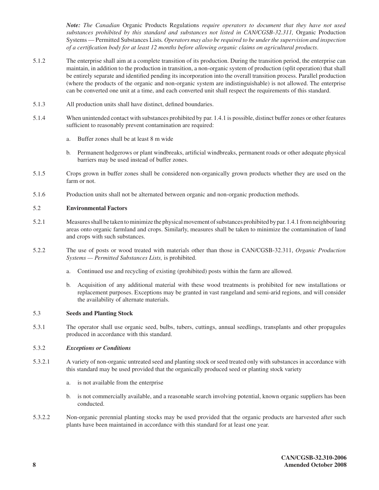*Note: The Canadian* Organic Products Regulations *require operators to document that they have not used substances prohibited by this standard and substances not listed in CAN/CGSB-32.311,* Organic Production Systems — Permitted Substances Lists*. Operators may also be required to be under the supervision and inspection of a certification body for at least 12 months before allowing organic claims on agricultural products*.

- 5.1.2 The enterprise shall aim at a complete transition of its production. During the transition period, the enterprise can maintain, in addition to the production in transition, a non-organic system of production (split operation) that shall be entirely separate and identified pending its incorporation into the overall transition process. Parallel production (where the products of the organic and non-organic system are indistinguishable) is not allowed. The enterprise can be converted one unit at a time, and each converted unit shall respect the requirements of this standard.
- 5.1.3 All production units shall have distinct, defined boundaries.
- 5.1.4 When unintended contact with substances prohibited by par. 1.4.1 is possible, distinct buffer zones or other features sufficient to reasonably prevent contamination are required:
	- a. Buffer zones shall be at least 8 m wide
	- b. Permanent hedgerows or plant windbreaks, artificial windbreaks, permanent roads or other adequate physical barriers may be used instead of buffer zones.
- 5.1.5 Crops grown in buffer zones shall be considered non-organically grown products whether they are used on the farm or not.
- 5.1.6 Production units shall not be alternated between organic and non-organic production methods.

## 5.2 **Environmental Factors**

- 5.2.1 Measures shall be taken to minimize the physical movement of substances prohibited by par. 1.4.1 from neighbouring areas onto organic farmland and crops. Similarly, measures shall be taken to minimize the contamination of land and crops with such substances.
- 5.2.2 The use of posts or wood treated with materials other than those in CAN/CGSB-32.311, *Organic Production Systems — Permitted Substances Lists,* is prohibited.
	- a. Continued use and recycling of existing (prohibited) posts within the farm are allowed.
	- b. Acquisition of any additional material with these wood treatments is prohibited for new installations or replacement purposes. Exceptions may be granted in vast rangeland and semi-arid regions, and will consider the availability of alternate materials.

## 5.3 **Seeds and Planting Stock**

5.3.1 The operator shall use organic seed, bulbs, tubers, cuttings, annual seedlings, transplants and other propagules produced in accordance with this standard.

#### 5.3.2 *Exceptions or Conditions*

- 5.3.2.1 A variety of non-organic untreated seed and planting stock or seed treated only with substances in accordance with this standard may be used provided that the organically produced seed or planting stock variety
	- a. is not available from the enterprise
	- b. is not commercially available, and a reasonable search involving potential, known organic suppliers has been conducted.
- 5.3.2.2 Non-organic perennial planting stocks may be used provided that the organic products are harvested after such plants have been maintained in accordance with this standard for at least one year.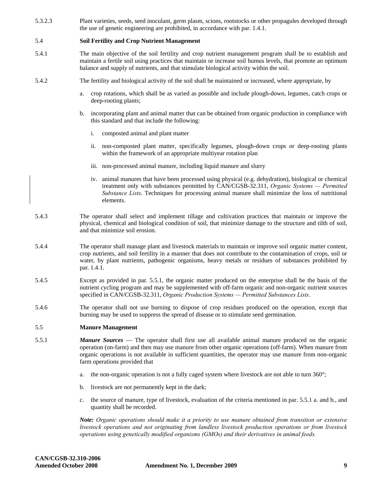5.3.2.3 Plant varieties, seeds, seed inoculant, germ plasm, scions, rootstocks or other propagules developed through the use of genetic engineering are prohibited, in accordance with par. 1.4.1.

## 5.4 **Soil Fertility and Crop Nutrient Management**

- 5.4.1 The main objective of the soil fertility and crop nutrient management program shall be to establish and maintain a fertile soil using practices that maintain or increase soil humus levels, that promote an optimum balance and supply of nutrients, and that stimulate biological activity within the soil.
- 5.4.2 The fertility and biological activity of the soil shall be maintained or increased, where appropriate, by
	- a. crop rotations, which shall be as varied as possible and include plough-down, legumes, catch crops or deep-rooting plants;
	- b. incorporating plant and animal matter that can be obtained from organic production in compliance with this standard and that include the following:
		- i. composted animal and plant matter
		- ii. non-composted plant matter, specifically legumes, plough-down crops or deep-rooting plants within the framework of an appropriate multiyear rotation plan
		- iii. non-processed animal manure, including liquid manure and slurry
		- iv. animal manures that have been processed using physical (e.g. dehydration), biological or chemical treatment only with substances permitted by CAN/CGSB-32.311, *Organic Systems — Permitted Substance Lists*. Techniques for processing animal manure shall minimize the loss of nutritional elements.
- 5.4.3 The operator shall select and implement tillage and cultivation practices that maintain or improve the physical, chemical and biological condition of soil, that minimize damage to the structure and tilth of soil, and that minimize soil erosion.
- 5.4.4 The operator shall manage plant and livestock materials to maintain or improve soil organic matter content, crop nutrients, and soil fertility in a manner that does not contribute to the contamination of crops, soil or water, by plant nutrients, pathogenic organisms, heavy metals or residues of substances prohibited by par. 1.4.1.
- 5.4.5 Except as provided in par. 5.5.1, the organic matter produced on the enterprise shall be the basis of the nutrient cycling program and may be supplemented with off-farm organic and non-organic nutrient sources specified in CAN/CGSB-32.311, *Organic Production Systems — Permitted Substances Lists*.
- 5.4.6 The operator shall not use burning to dispose of crop residues produced on the operation, except that burning may be used to suppress the spread of disease or to stimulate seed germination.

## 5.5 **Manure Management**

- 5.5.1 *Manure Sources*  The operator shall first use all available animal manure produced on the organic operation (on-farm) and then may use manure from other organic operations (off-farm). When manure from organic operations is not available in sufficient quantities, the operator may use manure from non-organic farm operations provided that
	- a. the non-organic operation is not a fully caged system where livestock are not able to turn 360°;
	- b. livestock are not permanently kept in the dark;
	- c. the source of manure, type of livestock, evaluation of the criteria mentioned in par. 5.5.1 a. and b., and quantity shall be recorded.

*Note: Organic operations should make it a priority to use manure obtained from transition or extensive livestock operations and not originating from landless livestock production operations or from livestock operations using genetically modified organisms (GMOs) and their derivatives in animal feeds.*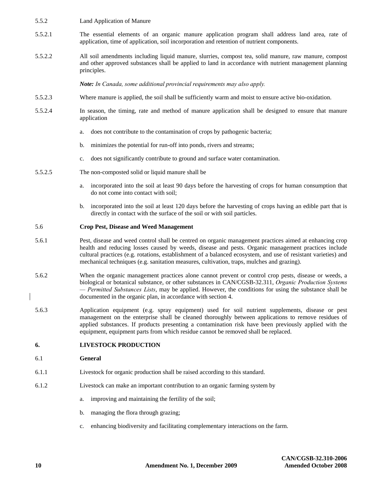- 5.5.2 Land Application of Manure
- 5.5.2.1 The essential elements of an organic manure application program shall address land area, rate of application, time of application, soil incorporation and retention of nutrient components.
- 5.5.2.2 All soil amendments including liquid manure, slurries, compost tea, solid manure, raw manure, compost and other approved substances shall be applied to land in accordance with nutrient management planning principles.

*Note: In Canada, some additional provincial requirements may also apply.*

- 5.5.2.3 Where manure is applied, the soil shall be sufficiently warm and moist to ensure active bio-oxidation.
- 5.5.2.4 In season, the timing, rate and method of manure application shall be designed to ensure that manure application
	- a. does not contribute to the contamination of crops by pathogenic bacteria;
	- b. minimizes the potential for run-off into ponds, rivers and streams;
	- c. does not significantly contribute to ground and surface water contamination.
- 5.5.2.5 The non-composted solid or liquid manure shall be
	- a. incorporated into the soil at least 90 days before the harvesting of crops for human consumption that do not come into contact with soil;
	- b. incorporated into the soil at least 120 days before the harvesting of crops having an edible part that is directly in contact with the surface of the soil or with soil particles.

#### 5.6 **Crop Pest, Disease and Weed Management**

- 5.6.1 Pest, disease and weed control shall be centred on organic management practices aimed at enhancing crop health and reducing losses caused by weeds, disease and pests. Organic management practices include cultural practices (e.g. rotations, establishment of a balanced ecosystem, and use of resistant varieties) and mechanical techniques (e.g. sanitation measures, cultivation, traps, mulches and grazing).
- 5.6.2 When the organic management practices alone cannot prevent or control crop pests, disease or weeds, a biological or botanical substance, or other substances in CAN/CGSB-32.311, *Organic Production Systems — Permitted Substances Lists*, may be applied. However, the conditions for using the substance shall be documented in the organic plan, in accordance with section 4.
- 5.6.3 Application equipment (e.g. spray equipment) used for soil nutrient supplements, disease or pest management on the enterprise shall be cleaned thoroughly between applications to remove residues of applied substances. If products presenting a contamination risk have been previously applied with the equipment, equipment parts from which residue cannot be removed shall be replaced.

## **6. LIVESTOCK PRODUCTION**

#### 6.1 **General**

- 6.1.1 Livestock for organic production shall be raised according to this standard.
- 6.1.2 Livestock can make an important contribution to an organic farming system by
	- a. improving and maintaining the fertility of the soil;
	- b. managing the flora through grazing;
	- c. enhancing biodiversity and facilitating complementary interactions on the farm.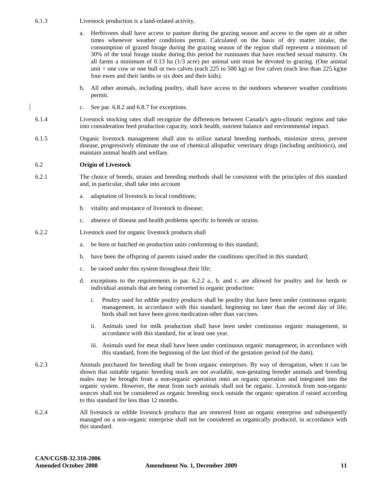6.1.3 Livestock production is a land-related activity.

- a. Herbivores shall have access to pasture during the grazing season and access to the open air at other times whenever weather conditions permit. Calculated on the basis of dry matter intake, the consumption of grazed forage during the grazing season of the region shall represent a minimum of 30% of the total forage intake during this period for ruminants that have reached sexual maturity. On all farms a minimum of 0.13 ha (1/3 acre) per animal unit must be devoted to grazing. (One animal unit = one cow or one bull or two calves (each  $225$  to  $500$  kg) or five calves (each less than  $225$  kg)or four ewes and their lambs or six does and their kids).
- b. All other animals, including poultry, shall have access to the outdoors whenever weather conditions permit.
- c. See par. 6.8.2 and 6.8.7 for exceptions.
- 6.1.4 Livestock stocking rates shall recognize the differences between Canada's agro-climatic regions and take into consideration feed production capacity, stock health, nutrient balance and environmental impact.
- 6.1.5 Organic livestock management shall aim to utilize natural breeding methods, minimize stress, prevent disease, progressively eliminate the use of chemical allopathic veterinary drugs (including antibiotics), and maintain animal health and welfare.

#### 6.2 **Origin of Livestock**

- 6.2.1 The choice of breeds, strains and breeding methods shall be consistent with the principles of this standard and, in particular, shall take into account
	- a. adaptation of livestock to local conditions;
	- b. vitality and resistance of livestock to disease;
	- c. absence of disease and health problems specific to breeds or strains.
- 6.2.2 Livestock used for organic livestock products shall
	- a. be born or hatched on production units conforming to this standard;
	- b. have been the offspring of parents raised under the conditions specified in this standard;
	- c. be raised under this system throughout their life;
	- d. exceptions to the requirements in par. 6.2.2 a., b. and c. are allowed for poultry and for herds or individual animals that are being converted to organic production:
		- i. Poultry used for edible poultry products shall be poultry that have been under continuous organic management, in accordance with this standard, beginning no later than the second day of life; birds shall not have been given medication other than vaccines.
		- ii. Animals used for milk production shall have been under continuous organic management, in accordance with this standard, for at least one year.
		- iii. Animals used for meat shall have been under continuous organic management, in accordance with this standard, from the beginning of the last third of the gestation period (of the dam).
- 6.2.3 Animals purchased for breeding shall be from organic enterprises. By way of derogation, when it can be shown that suitable organic breeding stock are not available, non-gestating breeder animals and breeding males may be brought from a non-organic operation onto an organic operation and integrated into the organic system. However, the meat from such animals shall not be organic. Livestock from non-organic sources shall not be considered as organic breeding stock outside the organic operation if raised according to this standard for less than 12 months.
- 6.2.4 All livestock or edible livestock products that are removed from an organic enterprise and subsequently managed on a non-organic enterprise shall not be considered as organically produced, in accordance with this standard.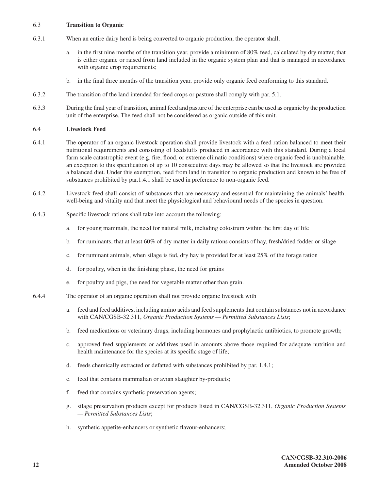## 6.3 **Transition to Organic**

- 6.3.1 When an entire dairy herd is being converted to organic production, the operator shall,
	- a. in the first nine months of the transition year, provide a minimum of 80% feed, calculated by dry matter, that is either organic or raised from land included in the organic system plan and that is managed in accordance with organic crop requirements;
	- b. in the final three months of the transition year, provide only organic feed conforming to this standard.
- 6.3.2 The transition of the land intended for feed crops or pasture shall comply with par. 5.1.
- 6.3.3 During the final year of transition, animal feed and pasture of the enterprise can be used as organic by the production unit of the enterprise. The feed shall not be considered as organic outside of this unit.

## 6.4 **Livestock Feed**

- 6.4.1 The operator of an organic livestock operation shall provide livestock with a feed ration balanced to meet their nutritional requirements and consisting of feedstuffs produced in accordance with this standard. During a local farm scale catastrophic event (e.g. fire, flood, or extreme climatic conditions) where organic feed is unobtainable, an exception to this specification of up to 10 consecutive days may be allowed so that the livestock are provided a balanced diet. Under this exemption, feed from land in transition to organic production and known to be free of substances prohibited by par.1.4.1 shall be used in preference to non-organic feed.
- 6.4.2 Livestock feed shall consist of substances that are necessary and essential for maintaining the animals' health, well-being and vitality and that meet the physiological and behavioural needs of the species in question.
- 6.4.3 Specific livestock rations shall take into account the following:
	- a. for young mammals, the need for natural milk, including colostrum within the first day of life
	- b. for ruminants, that at least 60% of dry matter in daily rations consists of hay, fresh/dried fodder or silage
	- c. for ruminant animals, when silage is fed, dry hay is provided for at least 25% of the forage ration
	- d. for poultry, when in the finishing phase, the need for grains
	- e. for poultry and pigs, the need for vegetable matter other than grain.
- 6.4.4 The operator of an organic operation shall not provide organic livestock with
	- a. feed and feed additives, including amino acids and feed supplements that contain substances not in accordance with CAN/CGSB-32.311, *Organic Production Systems — Permitted Substances Lists*;
	- b. feed medications or veterinary drugs, including hormones and prophylactic antibiotics, to promote growth;
	- c. approved feed supplements or additives used in amounts above those required for adequate nutrition and health maintenance for the species at its specific stage of life;
	- d. feeds chemically extracted or defatted with substances prohibited by par. 1.4.1;
	- e. feed that contains mammalian or avian slaughter by-products;
	- f. feed that contains synthetic preservation agents;
	- g. silage preservation products except for products listed in CAN/CGSB-32.311, *Organic Production Systems — Permitted Substances Lists*;
	- h. synthetic appetite-enhancers or synthetic flavour-enhancers;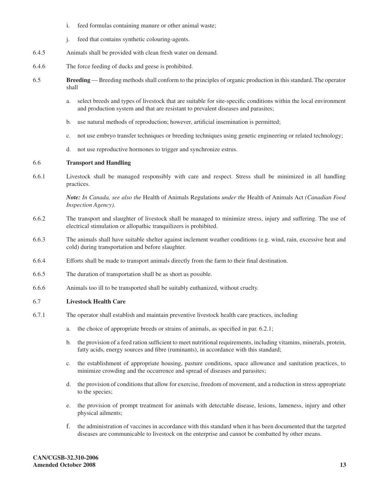- i. feed formulas containing manure or other animal waste;
- j. feed that contains synthetic colouring-agents.
- 6.4.5 Animals shall be provided with clean fresh water on demand.
- 6.4.6 The force feeding of ducks and geese is prohibited.
- 6.5 **Breeding**  Breeding methods shall conform to the principles of organic production in this standard. The operator shall
	- a. select breeds and types of livestock that are suitable for site-specific conditions within the local environment and production system and that are resistant to prevalent diseases and parasites;
	- b. use natural methods of reproduction; however, artificial insemination is permitted;
	- c. not use embryo transfer techniques or breeding techniques using genetic engineering or related technology;
	- d. not use reproductive hormones to trigger and synchronize estrus.

## 6.6 **Transport and Handling**

6.6.1 Livestock shall be managed responsibly with care and respect. Stress shall be minimized in all handling practices.

> *Note: In Canada, see also the* Health of Animals Regulations *under the* Health of Animals Act *(Canadian Food Inspection Agency)*.

- 6.6.2 The transport and slaughter of livestock shall be managed to minimize stress, injury and suffering. The use of electrical stimulation or allopathic tranquilizers is prohibited.
- 6.6.3 The animals shall have suitable shelter against inclement weather conditions (e.g. wind, rain, excessive heat and cold) during transportation and before slaughter.
- 6.6.4 Efforts shall be made to transport animals directly from the farm to their final destination.
- 6.6.5 The duration of transportation shall be as short as possible.
- 6.6.6 Animals too ill to be transported shall be suitably euthanized, without cruelty.

## 6.7 **Livestock Health Care**

- 6.7.1 The operator shall establish and maintain preventive livestock health care practices, including
	- a. the choice of appropriate breeds or strains of animals, as specified in par. 6.2.1;
	- b. the provision of a feed ration sufficient to meet nutritional requirements, including vitamins, minerals, protein, fatty acids, energy sources and fibre (ruminants), in accordance with this standard;
	- c. the establishment of appropriate housing, pasture conditions, space allowance and sanitation practices, to minimize crowding and the occurrence and spread of diseases and parasites;
	- d. the provision of conditions that allow for exercise, freedom of movement, and a reduction in stress appropriate to the species;
	- e. the provision of prompt treatment for animals with detectable disease, lesions, lameness, injury and other physical ailments;
	- f. the administration of vaccines in accordance with this standard when it has been documented that the targeted diseases are communicable to livestock on the enterprise and cannot be combatted by other means.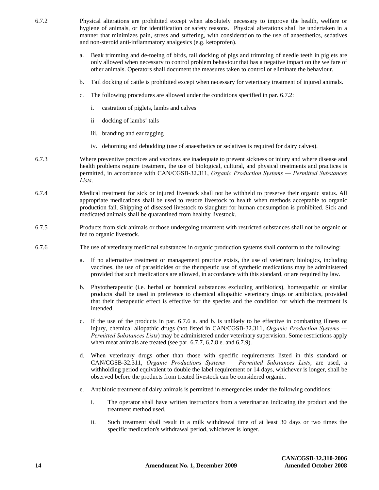| 6.7.2 |             | Physical alterations are prohibited except when absolutely necessary to improve the health, welfare or<br>hygiene of animals, or for identification or safety reasons. Physical alterations shall be undertaken in a<br>manner that minimizes pain, stress and suffering, with consideration to the use of anaesthetics, sedatives<br>and non-steroid anti-inflammatory analgesics (e.g. ketoprofen).  |
|-------|-------------|--------------------------------------------------------------------------------------------------------------------------------------------------------------------------------------------------------------------------------------------------------------------------------------------------------------------------------------------------------------------------------------------------------|
|       | a.          | Beak trimming and de-toeing of birds, tail docking of pigs and trimming of needle teeth in piglets are<br>only allowed when necessary to control problem behaviour that has a negative impact on the welfare of<br>other animals. Operators shall document the measures taken to control or eliminate the behaviour.                                                                                   |
|       | b.          | Tail docking of cattle is prohibited except when necessary for veterinary treatment of injured animals.                                                                                                                                                                                                                                                                                                |
|       | c.          | The following procedures are allowed under the conditions specified in par. 6.7.2:                                                                                                                                                                                                                                                                                                                     |
|       |             | castration of piglets, lambs and calves<br>i.                                                                                                                                                                                                                                                                                                                                                          |
|       |             | docking of lambs' tails<br>$\mathbf{ii}$                                                                                                                                                                                                                                                                                                                                                               |
|       |             | iii. branding and ear tagging                                                                                                                                                                                                                                                                                                                                                                          |
|       |             | iv. dehorning and debudding (use of anaesthetics or sedatives is required for dairy calves).                                                                                                                                                                                                                                                                                                           |
| 6.7.3 | Lists.      | Where preventive practices and vaccines are inadequate to prevent sickness or injury and where disease and<br>health problems require treatment, the use of biological, cultural, and physical treatments and practices is<br>permitted, in accordance with CAN/CGSB-32.311, Organic Production Systems - Permitted Substances                                                                         |
| 6.7.4 |             | Medical treatment for sick or injured livestock shall not be withheld to preserve their organic status. All<br>appropriate medications shall be used to restore livestock to health when methods acceptable to organic<br>production fail. Shipping of diseased livestock to slaughter for human consumption is prohibited. Sick and<br>medicated animals shall be quarantined from healthy livestock. |
| 6.7.5 |             | Products from sick animals or those undergoing treatment with restricted substances shall not be organic or<br>fed to organic livestock.                                                                                                                                                                                                                                                               |
| 6.7.6 |             | The use of veterinary medicinal substances in organic production systems shall conform to the following:                                                                                                                                                                                                                                                                                               |
|       | a.          | If no alternative treatment or management practice exists, the use of veterinary biologics, including<br>vaccines, the use of parasiticides or the therapeutic use of synthetic medications may be administered<br>provided that such medications are allowed, in accordance with this standard, or are required by law.                                                                               |
|       | b.          | Phytotherapeutic (i.e. herbal or botanical substances excluding antibiotics), homeopathic or similar<br>products shall be used in preference to chemical allopathic veterinary drugs or antibiotics, provided<br>that their therapeutic effect is effective for the species and the condition for which the treatment is<br>intended.                                                                  |
|       | $c_{\cdot}$ | If the use of the products in par. 6.7.6 a. and b. is unlikely to be effective in combatting illness or<br>injury, chemical allopathic drugs (not listed in CAN/CGSB-32.311, Organic Production Systems —<br>Permitted Substances Lists) may be administered under veterinary supervision. Some restrictions apply<br>when meat animals are treated (see par. 6.7.7, 6.7.8 e. and 6.7.9).              |
|       | d.          | When veterinary drugs other than those with specific requirements listed in this standard or<br>CAN/CGSB-32.311, Organic Productions Systems - Permitted Substances Lists, are used, a<br>withholding period equivalent to double the label requirement or 14 days, whichever is longer, shall be<br>observed before the products from treated livestock can be considered organic.                    |
|       | e.          | Antibiotic treatment of dairy animals is permitted in emergencies under the following conditions:                                                                                                                                                                                                                                                                                                      |
|       |             | The operator shall have written instructions from a veterinarian indicating the product and the<br>i.<br>treatment method used.                                                                                                                                                                                                                                                                        |
|       |             | ii.<br>Such treatment shall result in a milk withdrawal time of at least 30 days or two times the<br>specific medication's withdrawal period, whichever is longer.                                                                                                                                                                                                                                     |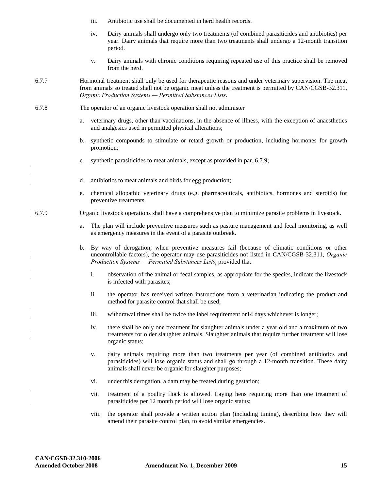- iii. Antibiotic use shall be documented in herd health records.
- iv. Dairy animals shall undergo only two treatments (of combined parasiticides and antibiotics) per year. Dairy animals that require more than two treatments shall undergo a 12-month transition period.
- v. Dairy animals with chronic conditions requiring repeated use of this practice shall be removed from the herd.
- 6.7.7 Hormonal treatment shall only be used for therapeutic reasons and under veterinary supervision. The meat from animals so treated shall not be organic meat unless the treatment is permitted by CAN/CGSB-32.311, *Organic Production Systems — Permitted Substances Lists*.
- 6.7.8 The operator of an organic livestock operation shall not administer
	- a. veterinary drugs, other than vaccinations, in the absence of illness, with the exception of anaesthetics and analgesics used in permitted physical alterations;
	- b. synthetic compounds to stimulate or retard growth or production, including hormones for growth promotion;
	- c. synthetic parasiticides to meat animals, except as provided in par. 6.7.9;
	- d. antibiotics to meat animals and birds for egg production;
	- e. chemical allopathic veterinary drugs (e.g. pharmaceuticals, antibiotics, hormones and steroids) for preventive treatments.
- 6.7.9 Organic livestock operations shall have a comprehensive plan to minimize parasite problems in livestock.
	- a. The plan will include preventive measures such as pasture management and fecal monitoring, as well as emergency measures in the event of a parasite outbreak.
	- b. By way of derogation, when preventive measures fail (because of climatic conditions or other uncontrollable factors), the operator may use parasiticides not listed in CAN/CGSB-32.311, *Organic Production Systems — Permitted Substances Lists*, provided that
		- i. observation of the animal or fecal samples, as appropriate for the species, indicate the livestock is infected with parasites;
		- ii the operator has received written instructions from a veterinarian indicating the product and method for parasite control that shall be used;
		- iii. withdrawal times shall be twice the label requirement or14 days whichever is longer;
		- iv. there shall be only one treatment for slaughter animals under a year old and a maximum of two treatments for older slaughter animals. Slaughter animals that require further treatment will lose organic status;
		- v. dairy animals requiring more than two treatments per year (of combined antibiotics and parasiticides) will lose organic status and shall go through a 12-month transition. These dairy animals shall never be organic for slaughter purposes;
		- vi. under this derogation, a dam may be treated during gestation;
		- vii. treatment of a poultry flock is allowed. Laying hens requiring more than one treatment of parasiticides per 12 month period will lose organic status;
		- viii. the operator shall provide a written action plan (including timing), describing how they will amend their parasite control plan, to avoid similar emergencies.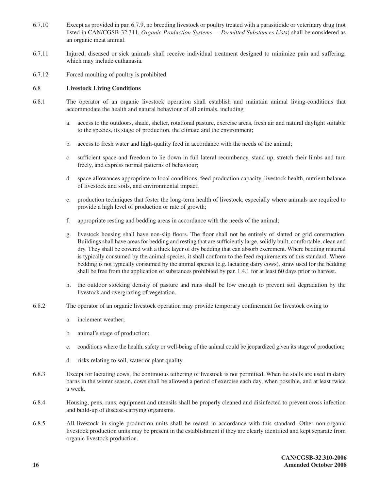- 6.7.10 Except as provided in par. 6.7.9, no breeding livestock or poultry treated with a parasiticide or veterinary drug (not listed in CAN/CGSB-32.311, *Organic Production Systems — Permitted Substances Lists*) shall be considered as an organic meat animal.
- 6.7.11 Injured, diseased or sick animals shall receive individual treatment designed to minimize pain and suffering, which may include euthanasia.
- 6.7.12 Forced moulting of poultry is prohibited.

## 6.8 **Livestock Living Conditions**

- 6.8.1 The operator of an organic livestock operation shall establish and maintain animal living-conditions that accommodate the health and natural behaviour of all animals, including
	- a. access to the outdoors, shade, shelter, rotational pasture, exercise areas, fresh air and natural daylight suitable to the species, its stage of production, the climate and the environment;
	- b. access to fresh water and high-quality feed in accordance with the needs of the animal;
	- c. sufficient space and freedom to lie down in full lateral recumbency, stand up, stretch their limbs and turn freely, and express normal patterns of behaviour;
	- d. space allowances appropriate to local conditions, feed production capacity, livestock health, nutrient balance of livestock and soils, and environmental impact;
	- e. production techniques that foster the long-term health of livestock, especially where animals are required to provide a high level of production or rate of growth;
	- f. appropriate resting and bedding areas in accordance with the needs of the animal;
	- g. livestock housing shall have non-slip floors. The floor shall not be entirely of slatted or grid construction. Buildings shall have areas for bedding and resting that are sufficiently large, solidly built, comfortable, clean and dry. They shall be covered with a thick layer of dry bedding that can absorb excrement. Where bedding material is typically consumed by the animal species, it shall conform to the feed requirements of this standard. Where bedding is not typically consumed by the animal species (e.g. lactating dairy cows), straw used for the bedding shall be free from the application of substances prohibited by par. 1.4.1 for at least 60 days prior to harvest.
	- h. the outdoor stocking density of pasture and runs shall be low enough to prevent soil degradation by the livestock and overgrazing of vegetation.
- 6.8.2 The operator of an organic livestock operation may provide temporary confinement for livestock owing to
	- a. inclement weather;
	- b. animal's stage of production;
	- c. conditions where the health, safety or well-being of the animal could be jeopardized given its stage of production;
	- d. risks relating to soil, water or plant quality.
- 6.8.3 Except for lactating cows, the continuous tethering of livestock is not permitted. When tie stalls are used in dairy barns in the winter season, cows shall be allowed a period of exercise each day, when possible, and at least twice a week.
- 6.8.4 Housing, pens, runs, equipment and utensils shall be properly cleaned and disinfected to prevent cross infection and build-up of disease-carrying organisms.
- 6.8.5 All livestock in single production units shall be reared in accordance with this standard. Other non-organic livestock production units may be present in the establishment if they are clearly identified and kept separate from organic livestock production.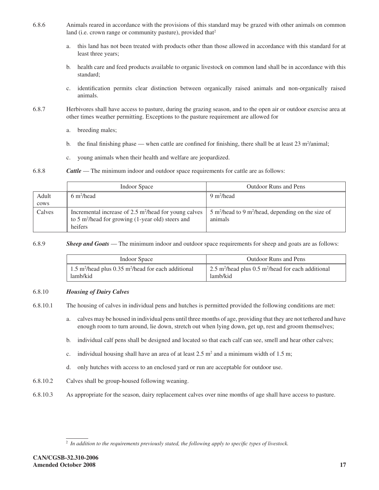- 6.8.6 Animals reared in accordance with the provisions of this standard may be grazed with other animals on common land (i.e. crown range or community pasture), provided that<sup>2</sup>
	- a. this land has not been treated with products other than those allowed in accordance with this standard for at least three years;
	- b. health care and feed products available to organic livestock on common land shall be in accordance with this standard;
	- c. identification permits clear distinction between organically raised animals and non-organically raised animals.
- 6.8.7 Herbivores shall have access to pasture, during the grazing season, and to the open air or outdoor exercise area at other times weather permitting. Exceptions to the pasture requirement are allowed for
	- a. breeding males;
	- b. the final finishing phase when cattle are confined for finishing, there shall be at least  $23 \text{ m}^2$ /animal;
	- c. young animals when their health and welfare are jeopardized.
- 6.8.8 *Cattle* The minimum indoor and outdoor space requirements for cattle are as follows:

|        | Indoor Space                                                                                                                                     | <b>Outdoor Runs and Pens</b>                                                         |  |
|--------|--------------------------------------------------------------------------------------------------------------------------------------------------|--------------------------------------------------------------------------------------|--|
| Adult  | $6 \text{ m}^2$ /head                                                                                                                            | $9 \text{ m}^2$ /head                                                                |  |
| cows   |                                                                                                                                                  |                                                                                      |  |
| Calves | Incremental increase of 2.5 m <sup>2</sup> /head for young calves<br>to 5 m <sup>2</sup> /head for growing $(1$ -year old) steers and<br>heifers | $5 \text{ m}^2$ /head to 9 m <sup>2</sup> /head, depending on the size of<br>animals |  |

6.8.9 *Sheep and Goats* — The minimum indoor and outdoor space requirements for sheep and goats are as follows:

| Indoor Space                                                                | Outdoor Runs and Pens                                                                    |  |
|-----------------------------------------------------------------------------|------------------------------------------------------------------------------------------|--|
| 1.5 m <sup>2</sup> /head plus 0.35 m <sup>2</sup> /head for each additional | $\frac{1}{2}$ 2.5 m <sup>2</sup> /head plus 0.5 m <sup>2</sup> /head for each additional |  |
| lamb/kid                                                                    | lamb/kid                                                                                 |  |

## 6.8.10 *Housing of Dairy Calves*

6.8.10.1 The housing of calves in individual pens and hutches is permitted provided the following conditions are met:

- a. calves may be housed in individual pens until three months of age, providing that they are not tethered and have enough room to turn around, lie down, stretch out when lying down, get up, rest and groom themselves;
- b. individual calf pens shall be designed and located so that each calf can see, smell and hear other calves;
- c. individual housing shall have an area of at least  $2.5 \text{ m}^2$  and a minimum width of 1.5 m;
- d. only hutches with access to an enclosed yard or run are acceptable for outdoor use.
- 6.8.10.2 Calves shall be group-housed following weaning.
- 6.8.10.3 As appropriate for the season, dairy replacement calves over nine months of age shall have access to pasture.

<sup>2</sup> *In addition to the requirements previously stated, the following apply to specific types of livestock.*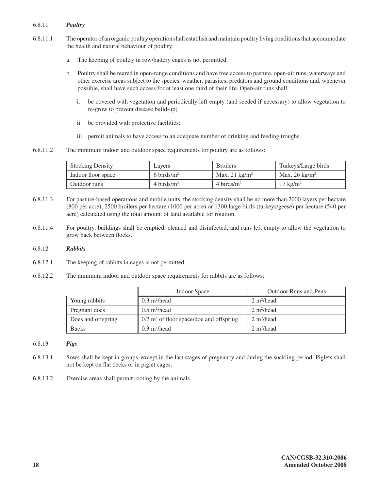## 6.8.11 *Poultry*

- 6.8.11.1 The operator of an organic poultry operation shall establish and maintain poultry living conditions that accommodate the health and natural behaviour of poultry:
	- a. The keeping of poultry in row/battery cages is not permitted.
	- b. Poultry shall be reared in open-range conditions and have free access to pasture, open-air runs, waterways and other exercise areas subject to the species, weather, parasites, predators and ground conditions and, whenever possible, shall have such access for at least one third of their life. Open-air runs shall
		- i. be covered with vegetation and periodically left empty (and seeded if necessary) to allow vegetation to re-grow to prevent disease build-up;
		- ii. be provided with protective facilities;
		- iii. permit animals to have access to an adequate number of drinking and feeding troughs.
- 6.8.11.2 The minimum indoor and outdoor space requirements for poultry are as follows:

| <b>Stocking Density</b> | Layers        | <b>Broilers</b>         | Turkeys/Large birds      |
|-------------------------|---------------|-------------------------|--------------------------|
| Indoor floor space      | 6 birds/ $m2$ | Max. 21 $\text{kg/m}^2$ | Max. $26 \text{ kg/m}^2$ |
| Outdoor runs            | 4 birds/ $m2$ | 4 birds/ $m2$           | $17 \text{ kg/m}^2$      |

- 6.8.11.3 For pasture-based operations and mobile units, the stocking density shall be no more than 2000 layers per hectare (800 per acre), 2500 broilers per hectare (1000 per acre) or 1300 large birds (turkeys/geese) per hectare (540 per acre) calculated using the total amount of land available for rotation.
- 6.8.11.4 For poultry, buildings shall be emptied, cleaned and disinfected, and runs left empty to allow the vegetation to grow back between flocks.

## 6.8.12 *Rabbits*

- 6.8.12.1 The keeping of rabbits in cages is not permitted.
- 6.8.12.2 The minimum indoor and outdoor space requirements for rabbits are as follows:

|                    | <b>Indoor Space</b>                                | <b>Outdoor Runs and Pens</b> |
|--------------------|----------------------------------------------------|------------------------------|
| Young rabbits      | $0.3 \text{ m}^2$ /head                            | $2 \text{ m}^2$ /head        |
| Pregnant does      | $0.5 \text{ m}^2$ /head                            | $2 \text{ m}^2$ /head        |
| Does and offspring | $0.7 \text{ m}^2$ of floor space/doe and offspring | $2 \text{ m}^2$ /head        |
| <b>Bucks</b>       | $0.3 \text{ m}^2$ /head                            | $2 \text{ m}^2$ /head        |

## 6.8.13 *Pigs*

- 6.8.13.1 Sows shall be kept in groups, except in the last stages of pregnancy and during the suckling period. Piglets shall not be kept on flat decks or in piglet cages.
- 6.8.13.2 Exercise areas shall permit rooting by the animals.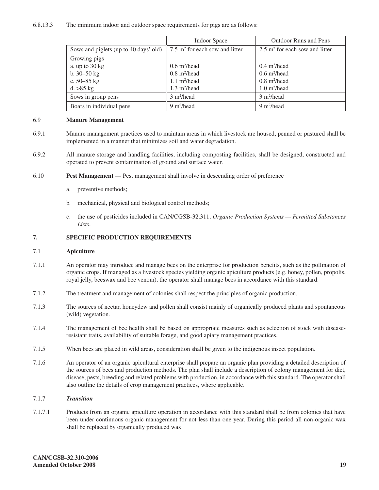## 6.8.13.3 The minimum indoor and outdoor space requirements for pigs are as follows:

|                                       | <b>Indoor Space</b>                          | <b>Outdoor Runs and Pens</b>                 |
|---------------------------------------|----------------------------------------------|----------------------------------------------|
| Sows and piglets (up to 40 days' old) | $7.5$ m <sup>2</sup> for each sow and litter | $2.5$ m <sup>2</sup> for each sow and litter |
| Growing pigs                          |                                              |                                              |
| a. up to $30 \text{ kg}$              | $0.6 \text{ m}^2$ /head                      | $0.4 \text{ m}^2/\text{head}$                |
| b. $30 - 50$ kg                       | $0.8 \text{ m}^2/\text{head}$                | $0.6 \text{ m}^2$ /head                      |
| c. $50 - 85$ kg                       | $1.1 \text{ m}^2$ /head                      | $0.8 \text{ m}^2$ /head                      |
| d. > 85 kg                            | $1.3 \text{ m}^2/\text{head}$                | $1.0 \text{ m}^2$ /head                      |
| Sows in group pens                    | 3 m <sup>2</sup> /head                       | 3 m <sup>2</sup> /head                       |
| Boars in individual pens              | $9 \text{ m}^2$ /head                        | $9 \text{ m}^2$ /head                        |

## 6.9 **Manure Management**

- 6.9.1 Manure management practices used to maintain areas in which livestock are housed, penned or pastured shall be implemented in a manner that minimizes soil and water degradation.
- 6.9.2 All manure storage and handling facilities, including composting facilities, shall be designed, constructed and operated to prevent contamination of ground and surface water.
- 6.10 **Pest Management**  Pest management shall involve in descending order of preference
	- a. preventive methods;
	- b. mechanical, physical and biological control methods;
	- c. the use of pesticides included in CAN/CGSB-32.311, *Organic Production Systems — Permitted Substances Lists*.

## **7. SPECIFIC PRODUCTION REQUIREMENTS**

## 7.1 **Apiculture**

- 7.1.1 An operator may introduce and manage bees on the enterprise for production benefits, such as the pollination of organic crops. If managed as a livestock species yielding organic apiculture products (e.g. honey, pollen, propolis, royal jelly, beeswax and bee venom), the operator shall manage bees in accordance with this standard.
- 7.1.2 The treatment and management of colonies shall respect the principles of organic production.
- 7.1.3 The sources of nectar, honeydew and pollen shall consist mainly of organically produced plants and spontaneous (wild) vegetation.
- 7.1.4 The management of bee health shall be based on appropriate measures such as selection of stock with diseaseresistant traits, availability of suitable forage, and good apiary management practices.
- 7.1.5 When bees are placed in wild areas, consideration shall be given to the indigenous insect population.
- 7.1.6 An operator of an organic apicultural enterprise shall prepare an organic plan providing a detailed description of the sources of bees and production methods. The plan shall include a description of colony management for diet, disease, pests, breeding and related problems with production, in accordance with this standard. The operator shall also outline the details of crop management practices, where applicable.

## 7.1.7 *Transition*

7.1.7.1 Products from an organic apiculture operation in accordance with this standard shall be from colonies that have been under continuous organic management for not less than one year. During this period all non-organic wax shall be replaced by organically produced wax.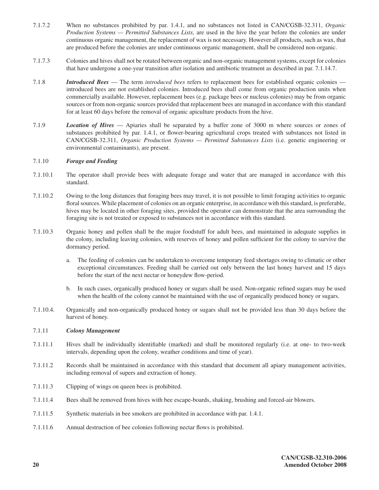- 7.1.7.2 When no substances prohibited by par. 1.4.1, and no substances not listed in CAN/CGSB-32.311, *Organic Production Systems — Permitted Substances Lists,* are used in the hive the year before the colonies are under continuous organic management, the replacement of wax is not necessary. However all products, such as wax, that are produced before the colonies are under continuous organic management, shall be considered non-organic.
- 7.1.7.3 Colonies and hives shall not be rotated between organic and non-organic management systems, except for colonies that have undergone a one-year transition after isolation and antibiotic treatment as described in par. 7.1.14.7.
- 7.1.8 *Introduced Bees*  The term *introduced bees* refers to replacement bees for established organic colonies introduced bees are not established colonies. Introduced bees shall come from organic production units when commercially available. However, replacement bees (e.g. package bees or nucleus colonies) may be from organic sources or from non-organic sources provided that replacement bees are managed in accordance with this standard for at least 60 days before the removal of organic apiculture products from the hive.
- 7.1.9 *Location of Hives*  Apiaries shall be separated by a buffer zone of 3000 m where sources or zones of substances prohibited by par. 1.4.1, or flower-bearing agricultural crops treated with substances not listed in CAN/CGSB-32.311, *Organic Production Systems — Permitted Substances Lists* (i.e. genetic engineering or environmental contaminants), are present.

## 7.1.10 *Forage and Feeding*

- 7.1.10.1 The operator shall provide bees with adequate forage and water that are managed in accordance with this standard.
- 7.1.10.2 Owing to the long distances that foraging bees may travel, it is not possible to limit foraging activities to organic floral sources. While placement of colonies on an organic enterprise, in accordance with this standard, is preferable, hives may be located in other foraging sites, provided the operator can demonstrate that the area surrounding the foraging site is not treated or exposed to substances not in accordance with this standard.
- 7.1.10.3 Organic honey and pollen shall be the major foodstuff for adult bees, and maintained in adequate supplies in the colony, including leaving colonies, with reserves of honey and pollen sufficient for the colony to survive the dormancy period.
	- a. The feeding of colonies can be undertaken to overcome temporary feed shortages owing to climatic or other exceptional circumstances. Feeding shall be carried out only between the last honey harvest and 15 days before the start of the next nectar or honeydew flow-period.
	- b. In such cases, organically produced honey or sugars shall be used. Non-organic refined sugars may be used when the health of the colony cannot be maintained with the use of organically produced honey or sugars.
- 7.1.10.4. Organically and non-organically produced honey or sugars shall not be provided less than 30 days before the harvest of honey.

## 7.1.11 *Colony Management*

- 7.1.11.1 Hives shall be individually identifiable (marked) and shall be monitored regularly (i.e. at one- to two-week intervals, depending upon the colony, weather conditions and time of year).
- 7.1.11.2 Records shall be maintained in accordance with this standard that document all apiary management activities, including removal of supers and extraction of honey.
- 7.1.11.3 Clipping of wings on queen bees is prohibited.
- 7.1.11.4 Bees shall be removed from hives with bee escape-boards, shaking, brushing and forced-air blowers.
- 7.1.11.5 Synthetic materials in bee smokers are prohibited in accordance with par. 1.4.1.
- 7.1.11.6 Annual destruction of bee colonies following nectar flows is prohibited.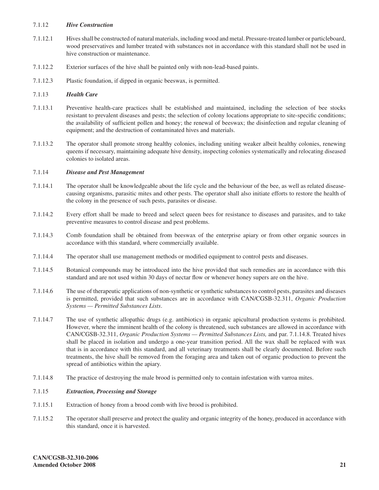## 7.1.12 *Hive Construction*

- 7.1.12.1 Hives shall be constructed of natural materials, including wood and metal. Pressure-treated lumber or particleboard, wood preservatives and lumber treated with substances not in accordance with this standard shall not be used in hive construction or maintenance.
- 7.1.12.2 Exterior surfaces of the hive shall be painted only with non-lead-based paints.
- 7.1.12.3 Plastic foundation, if dipped in organic beeswax, is permitted.

## 7.1.13 *Health Care*

- 7.1.13.1 Preventive health-care practices shall be established and maintained, including the selection of bee stocks resistant to prevalent diseases and pests; the selection of colony locations appropriate to site-specific conditions; the availability of sufficient pollen and honey; the renewal of beeswax; the disinfection and regular cleaning of equipment; and the destruction of contaminated hives and materials.
- 7.1.13.2 The operator shall promote strong healthy colonies, including uniting weaker albeit healthy colonies, renewing queens if necessary, maintaining adequate hive density, inspecting colonies systematically and relocating diseased colonies to isolated areas.

## 7.1.14 *Disease and Pest Management*

- 7.1.14.1 The operator shall be knowledgeable about the life cycle and the behaviour of the bee, as well as related diseasecausing organisms, parasitic mites and other pests. The operator shall also initiate efforts to restore the health of the colony in the presence of such pests, parasites or disease.
- 7.1.14.2 Every effort shall be made to breed and select queen bees for resistance to diseases and parasites, and to take preventive measures to control disease and pest problems.
- 7.1.14.3 Comb foundation shall be obtained from beeswax of the enterprise apiary or from other organic sources in accordance with this standard, where commercially available.
- 7.1.14.4 The operator shall use management methods or modified equipment to control pests and diseases.
- 7.1.14.5 Botanical compounds may be introduced into the hive provided that such remedies are in accordance with this standard and are not used within 30 days of nectar flow or whenever honey supers are on the hive.
- 7.1.14.6 The use of therapeutic applications of non-synthetic or synthetic substances to control pests, parasites and diseases is permitted, provided that such substances are in accordance with CAN/CGSB-32.311, *Organic Production Systems — Permitted Substances Lists*.
- 7.1.14.7 The use of synthetic allopathic drugs (e.g. antibiotics) in organic apicultural production systems is prohibited. However, where the imminent health of the colony is threatened, such substances are allowed in accordance with CAN/CGSB-32.311, *Organic Production Systems — Permitted Substances Lists,* and par. 7.1.14.8. Treated hives shall be placed in isolation and undergo a one-year transition period. All the wax shall be replaced with wax that is in accordance with this standard, and all veterinary treatments shall be clearly documented. Before such treatments, the hive shall be removed from the foraging area and taken out of organic production to prevent the spread of antibiotics within the apiary.
- 7.1.14.8 The practice of destroying the male brood is permitted only to contain infestation with varroa mites.

## 7.1.15 *Extraction, Processing and Storage*

- 7.1.15.1 Extraction of honey from a brood comb with live brood is prohibited.
- 7.1.15.2 The operator shall preserve and protect the quality and organic integrity of the honey, produced in accordance with this standard, once it is harvested.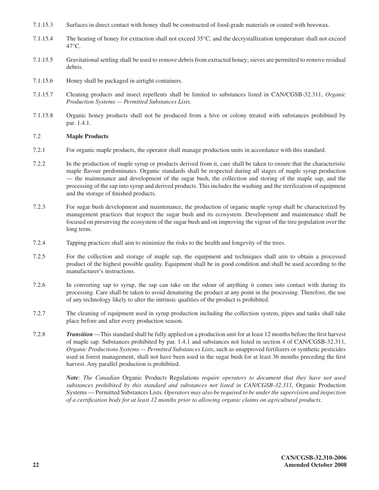- 7.1.15.3 Surfaces in direct contact with honey shall be constructed of food-grade materials or coated with beeswax.
- 7.1.15.4 The heating of honey for extraction shall not exceed 35°C, and the decrystallization temperature shall not exceed  $47^{\circ}$ C.
- 7.1.15.5 Gravitational settling shall be used to remove debris from extracted honey; sieves are permitted to remove residual debris.
- 7.1.15.6 Honey shall be packaged in airtight containers.
- 7.1.15.7 Cleaning products and insect repellents shall be limited to substances listed in CAN/CGSB-32.311, *Organic Production Systems — Permitted Substances Lists*.
- 7.1.15.8 Organic honey products shall not be produced from a hive or colony treated with substances prohibited by par. 1.4.1.

## 7.2 **Maple Products**

- 7.2.1 For organic maple products, the operator shall manage production units in accordance with this standard.
- 7.2.2 In the production of maple syrup or products derived from it, care shall be taken to ensure that the characteristic maple flavour predominates. Organic standards shall be respected during all stages of maple syrup production — the maintenance and development of the sugar bush, the collection and storing of the maple sap, and the processing of the sap into syrup and derived products. This includes the washing and the sterilization of equipment and the storage of finished products.
- 7.2.3 For sugar bush development and maintenance, the production of organic maple syrup shall be characterized by management practices that respect the sugar bush and its ecosystem. Development and maintenance shall be focused on preserving the ecosystem of the sugar bush and on improving the vigour of the tree population over the long term.
- 7.2.4 Tapping practices shall aim to minimize the risks to the health and longevity of the trees.
- 7.2.5 For the collection and storage of maple sap, the equipment and techniques shall aim to obtain a processed product of the highest possible quality. Equipment shall be in good condition and shall be used according to the manufacturer's instructions.
- 7.2.6 In converting sap to syrup, the sap can take on the odour of anything it comes into contact with during its processing. Care shall be taken to avoid denaturing the product at any point in the processing. Therefore, the use of any technology likely to alter the intrinsic qualities of the product is prohibited.
- 7.2.7 The cleaning of equipment used in syrup production including the collection system, pipes and tanks shall take place before and after every production season.
- 7.2.8 *Transition* —This standard shall be fully applied on a production unit for at least 12 months before the first harvest of maple sap. Substances prohibited by par. 1.4.1 and substances not listed in section 4 of CAN/CGSB-32.311, *Organic Productions Systems — Permitted Substances Lists*, such as unapproved fertilizers or synthetic pesticides used in forest management, shall not have been used in the sugar bush for at least 36 months preceding the first harvest. Any parallel production is prohibited.

*Note: The Canadian* Organic Products Regulations *require operators to document that they have not used substances prohibited by this standard and substances not listed in CAN/CGSB-32.311,* Organic Production Systems — Permitted Substances Lists*. Operators may also be required to be under the supervision and inspection of a certification body for at least 12 months prior to allowing organic claims on agricultural products.*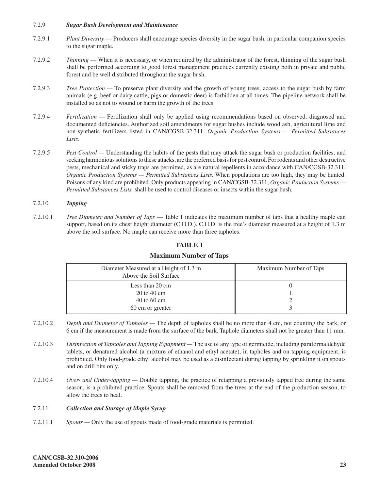## 7.2.9 *Sugar Bush Development and Maintenance*

- 7.2.9.1 *Plant Diversity* Producers shall encourage species diversity in the sugar bush, in particular companion species to the sugar maple.
- 7.2.9.2 *Thinning* When it is necessary, or when required by the administrator of the forest, thinning of the sugar bush shall be performed according to good forest management practices currently existing both in private and public forest and be well distributed throughout the sugar bush.
- 7.2.9.3 *Tree Protection* To preserve plant diversity and the growth of young trees, access to the sugar bush by farm animals (e.g. beef or dairy cattle, pigs or domestic deer) is forbidden at all times. The pipeline network shall be installed so as not to wound or harm the growth of the trees.
- 7.2.9.4 *Fertilization* Fertilization shall only be applied using recommendations based on observed, diagnosed and documented deficiencies. Authorized soil amendments for sugar bushes include wood ash, agricultural lime and non-synthetic fertilizers listed in CAN/CGSB-32.311, *Organic Production Systems — Permitted Substances Lists*.
- 7.2.9.5 *Pest Control* Understanding the habits of the pests that may attack the sugar bush or production facilities, and seeking harmonious solutions to these attacks, are the preferred basis for pest control. For rodents and other destructive pests, mechanical and sticky traps are permitted, as are natural repellents in accordance with CAN/CGSB-32.311, *Organic Production Systems — Permitted Substances Lists*. When populations are too high, they may be hunted. Poisons of any kind are prohibited. Only products appearing in CAN/CGSB-32.311, *Organic Production Systems — Permitted Substances Lists,* shall be used to control diseases or insects within the sugar bush.

## 7.2.10 *Tapping*

7.2.10.1 *Tree Diameter and Number of Taps* — Table 1 indicates the maximum number of taps that a healthy maple can support, based on its chest height diameter (C.H.D.). C.H.D. is the tree's diameter measured at a height of 1.3 m above the soil surface. No maple can receive more than three tapholes.

## **TABLE 1**

## **Maximum Number of Taps**

| Diameter Measured at a Height of 1.3 m<br>Above the Soil Surface | Maximum Number of Taps |
|------------------------------------------------------------------|------------------------|
| Less than $20 \text{ cm}$                                        |                        |
| $20 \text{ to } 40 \text{ cm}$                                   |                        |
| $40 \text{ to } 60 \text{ cm}$                                   |                        |
| 60 cm or greater                                                 |                        |

- 7.2.10.2 *Depth and Diameter of Tapholes* The depth of tapholes shall be no more than 4 cm, not counting the bark, or 6 cm if the measurement is made from the surface of the bark. Taphole diameters shall not be greater than 11 mm.
- 7.2.10.3 *Disinfection of Tapholes and Tapping Equipment* The use of any type of germicide, including paraformaldehyde tablets, or denatured alcohol (a mixture of ethanol and ethyl acetate), in tapholes and on tapping equipment, is prohibited. Only food-grade ethyl alcohol may be used as a disinfectant during tapping by sprinkling it on spouts and on drill bits only.
- 7.2.10.4 *Over- and Under-tapping* Double tapping, the practice of retapping a previously tapped tree during the same season, is a prohibited practice. Spouts shall be removed from the trees at the end of the production season, to allow the trees to heal.

## 7.2.11 *Collection and Storage of Maple Syrup*

7.2.11.1 *Spouts —* Only the use of spouts made of food-grade materials is permitted.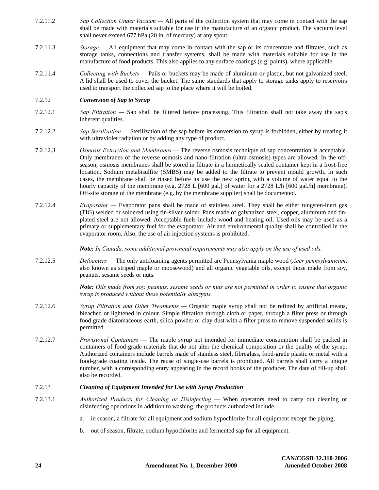- 7.2.11.2 *Sap Collection Under Vacuum* All parts of the collection system that may come in contact with the sap shall be made with materials suitable for use in the manufacture of an organic product. The vacuum level shall never exceed 677 hPa (20 in. of mercury) at any spout.
- 7.2.11.3 *Storage* All equipment that may come in contact with the sap or its concentrate and filtrates, such as storage tanks, connections and transfer systems, shall be made with materials suitable for use in the manufacture of food products. This also applies to any surface coatings (e.g. paints), where applicable.
- 7.2.11.4 *Collecting with Buckets* Pails or buckets may be made of aluminum or plastic, but not galvanized steel. A lid shall be used to cover the bucket. The same standards that apply to storage tanks apply to reservoirs used to transport the collected sap to the place where it will be boiled.

## 7.2.12 *Conversion of Sap to Syrup*

- 7.2.12.1 *Sap Filtration* Sap shall be filtered before processing. This filtration shall not take away the sap's inherent qualities.
- 7.2.12.2 *Sap Sterilization* Sterilization of the sap before its conversion to syrup is forbidden, either by treating it with ultraviolet radiation or by adding any type of product.
- 7.2.12.3 *Osmosis Extraction and Membranes* The reverse osmosis technique of sap concentration is acceptable. Only membranes of the reverse osmosis and nano-filtration (ultra-osmosis) types are allowed. In the offseason, osmosis membranes shall be stored in filtrate in a hermetically sealed container kept in a frost-free location. Sodium metabisulfite (SMBS) may be added to the filtrate to prevent mould growth. In such cases, the membrane shall be rinsed before its use the next spring with a volume of water equal to the hourly capacity of the membrane (e.g. 2728 L [600 gal.] of water for a 2728 L/h [600 gal./h] membrane). Off-site storage of the membrane (e.g. by the membrane supplier) shall be documented.
- 7.2.12.4 *Evaporator* Evaporator pans shall be made of stainless steel. They shall be either tungsten-inert gas (TIG) welded or soldered using tin-silver solder. Pans made of galvanized steel, copper, aluminum and tinplated steel are not allowed. Acceptable fuels include wood and heating oil. Used oils may be used as a primary or supplementary fuel for the evaporator. Air and environmental quality shall be controlled in the evaporator room. Also, the use of air injection systems is prohibited.

*Note: In Canada, some additional provincial requirements may also apply on the use of used oils.* 

7.2.12.5 *Defoamers —* The only antifoaming agents permitted are Pennsylvania maple wood (*Acer pennsylvanicum*, also known as striped maple or moosewood) and all organic vegetable oils, except those made from soy, peanuts, sesame seeds or nuts.

> *Note: Oils made from soy, peanuts, sesame seeds or nuts are not permitted in order to ensure that organic syrup is produced without these potentially allergens.*

- 7.2.12.6 *Syrup Filtration and Other Treatments* Organic maple syrup shall not be refined by artificial means, bleached or lightened in colour. Simple filtration through cloth or paper, through a filter press or through food grade diatomaceous earth, silica powder or clay dust with a filter press to remove suspended solids is permitted.
- 7.2.12.7 *Provisional Containers* The maple syrup not intended for immediate consumption shall be packed in containers of food-grade materials that do not alter the chemical composition or the quality of the syrup. Authorized containers include barrels made of stainless steel, fibreglass, food-grade plastic or metal with a food-grade coating inside. The reuse of single-use barrels is prohibited. All barrels shall carry a unique number, with a corresponding entry appearing in the record books of the producer. The date of fill-up shall also be recorded.

## 7.2.13 *Cleaning of Equipment Intended for Use with Syrup Production*

- 7.2.13.1 *Authorized Products for Cleaning or Disinfecting* When operators need to carry out cleaning or disinfecting operations in addition to washing, the products authorized include
	- a. in season, a filtrate for all equipment and sodium hypochlorite for all equipment except the piping;
	- b. out of season, filtrate, sodium hypochlorite and fermented sap for all equipment.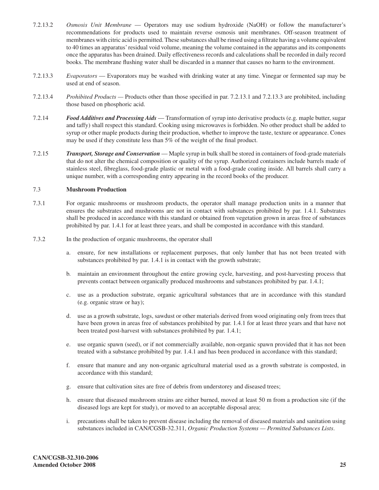- 7.2.13.2 *Osmosis Unit Membrane*  Operators may use sodium hydroxide (NaOH) or follow the manufacturer's recommendations for products used to maintain reverse osmosis unit membranes. Off-season treatment of membranes with citric acid is permitted. These substances shall be rinsed using a filtrate having a volume equivalent to 40 times an apparatus' residual void volume, meaning the volume contained in the apparatus and its components once the apparatus has been drained. Daily effectiveness records and calculations shall be recorded in daily record books. The membrane flushing water shall be discarded in a manner that causes no harm to the environment.
- 7.2.13.3 *Evaporators*  Evaporators may be washed with drinking water at any time. Vinegar or fermented sap may be used at end of season.
- 7.2.13.4 *Prohibited Products* Products other than those specified in par. 7.2.13.1 and 7.2.13.3 are prohibited, including those based on phosphoric acid.
- 7.2.14 *Food Additives and Processing Aids* Transformation of syrup into derivative products (e.g. maple butter, sugar and taffy) shall respect this standard. Cooking using microwaves is forbidden. No other product shall be added to syrup or other maple products during their production, whether to improve the taste, texture or appearance. Cones may be used if they constitute less than 5% of the weight of the final product.
- 7.2.15 *Transport, Storage and Conservation* Maple syrup in bulk shall be stored in containers of food-grade materials that do not alter the chemical composition or quality of the syrup. Authorized containers include barrels made of stainless steel, fibreglass, food-grade plastic or metal with a food-grade coating inside. All barrels shall carry a unique number, with a corresponding entry appearing in the record books of the producer.

## 7.3 **Mushroom Production**

- 7.3.1 For organic mushrooms or mushroom products, the operator shall manage production units in a manner that ensures the substrates and mushrooms are not in contact with substances prohibited by par. 1.4.1. Substrates shall be produced in accordance with this standard or obtained from vegetation grown in areas free of substances prohibited by par. 1.4.1 for at least three years, and shall be composted in accordance with this standard.
- 7.3.2 In the production of organic mushrooms, the operator shall
	- a. ensure, for new installations or replacement purposes, that only lumber that has not been treated with substances prohibited by par. 1.4.1 is in contact with the growth substrate;
	- b. maintain an environment throughout the entire growing cycle, harvesting, and post-harvesting process that prevents contact between organically produced mushrooms and substances prohibited by par. 1.4.1;
	- c. use as a production substrate, organic agricultural substances that are in accordance with this standard (e.g. organic straw or hay);
	- d. use as a growth substrate, logs, sawdust or other materials derived from wood originating only from trees that have been grown in areas free of substances prohibited by par. 1.4.1 for at least three years and that have not been treated post-harvest with substances prohibited by par. 1.4.1;
	- e. use organic spawn (seed), or if not commercially available, non-organic spawn provided that it has not been treated with a substance prohibited by par. 1.4.1 and has been produced in accordance with this standard;
	- f. ensure that manure and any non-organic agricultural material used as a growth substrate is composted, in accordance with this standard;
	- g. ensure that cultivation sites are free of debris from understorey and diseased trees;
	- h. ensure that diseased mushroom strains are either burned, moved at least 50 m from a production site (if the diseased logs are kept for study), or moved to an acceptable disposal area;
	- i. precautions shall be taken to prevent disease including the removal of diseased materials and sanitation using substances included in CAN/CGSB-32.311, *Organic Production Systems — Permitted Substances Lists*.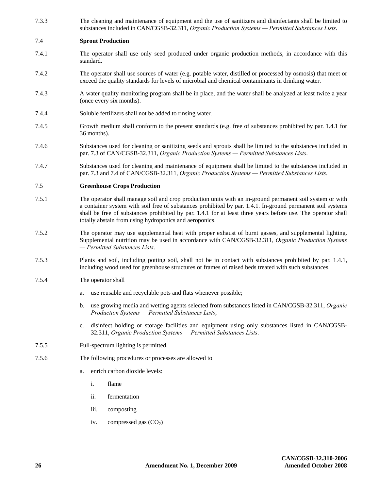7.3.3 The cleaning and maintenance of equipment and the use of sanitizers and disinfectants shall be limited to substances included in CAN/CGSB-32.311, *Organic Production Systems — Permitted Substances Lists*.

#### 7.4 **Sprout Production**

- 7.4.1 The operator shall use only seed produced under organic production methods, in accordance with this standard.
- 7.4.2 The operator shall use sources of water (e.g. potable water, distilled or processed by osmosis) that meet or exceed the quality standards for levels of microbial and chemical contaminants in drinking water.
- 7.4.3 A water quality monitoring program shall be in place, and the water shall be analyzed at least twice a year (once every six months).
- 7.4.4 Soluble fertilizers shall not be added to rinsing water.
- 7.4.5 Growth medium shall conform to the present standards (e.g. free of substances prohibited by par. 1.4.1 for 36 months).
- 7.4.6 Substances used for cleaning or sanitizing seeds and sprouts shall be limited to the substances included in par. 7.3 of CAN/CGSB-32.311, *Organic Production Systems — Permitted Substances Lists*.
- 7.4.7 Substances used for cleaning and maintenance of equipment shall be limited to the substances included in par. 7.3 and 7.4 of CAN/CGSB-32.311, *Organic Production Systems — Permitted Substances Lists*.

#### 7.5 **Greenhouse Crops Production**

- 7.5.1 The operator shall manage soil and crop production units with an in-ground permanent soil system or with a container system with soil free of substances prohibited by par. 1.4.1. In-ground permanent soil systems shall be free of substances prohibited by par. 1.4.1 for at least three years before use. The operator shall totally abstain from using hydroponics and aeroponics.
- 7.5.2 The operator may use supplemental heat with proper exhaust of burnt gasses, and supplemental lighting. Supplemental nutrition may be used in accordance with CAN/CGSB-32.311, *Organic Production Systems — Permitted Substances Lists*.
- 7.5.3 Plants and soil, including potting soil, shall not be in contact with substances prohibited by par. 1.4.1, including wood used for greenhouse structures or frames of raised beds treated with such substances.
- 7.5.4 The operator shall
	- a. use reusable and recyclable pots and flats whenever possible;
	- b. use growing media and wetting agents selected from substances listed in CAN/CGSB-32.311, *Organic Production Systems — Permitted Substances Lists*;
	- c. disinfect holding or storage facilities and equipment using only substances listed in CAN/CGSB-32.311, *Organic Production Systems — Permitted Substances Lists*.
- 7.5.5 Full-spectrum lighting is permitted.
- 7.5.6 The following procedures or processes are allowed to
	- a. enrich carbon dioxide levels:
		- i. flame
		- ii. fermentation
		- iii. composting
		- iv. compressed gas  $(CO<sub>2</sub>)$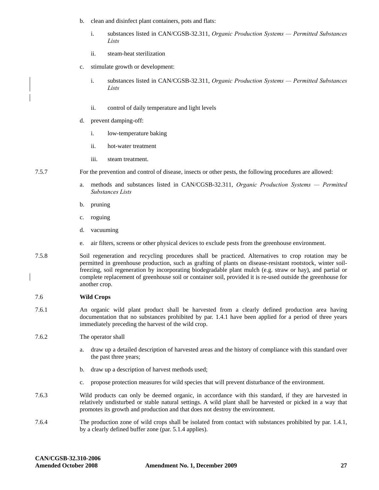- b. clean and disinfect plant containers, pots and flats:
	- i. substances listed in CAN/CGSB-32.311, *Organic Production Systems — Permitted Substances Lists*
	- ii. steam-heat sterilization
- c. stimulate growth or development:
	- i. substances listed in CAN/CGSB-32.311, *Organic Production Systems — Permitted Substances Lists*
	- ii. control of daily temperature and light levels
- d. prevent damping-off:
	- i. low-temperature baking
	- ii. hot-water treatment
	- iii. steam treatment.
- 7.5.7 For the prevention and control of disease, insects or other pests, the following procedures are allowed:
	- a. methods and substances listed in CAN/CGSB-32.311, *Organic Production Systems — Permitted Substances Lists*
	- b. pruning
	- c. roguing
	- d. vacuuming
	- e. air filters, screens or other physical devices to exclude pests from the greenhouse environment.
- 7.5.8 Soil regeneration and recycling procedures shall be practiced. Alternatives to crop rotation may be permitted in greenhouse production, such as grafting of plants on disease-resistant rootstock, winter soilfreezing, soil regeneration by incorporating biodegradable plant mulch (e.g. straw or hay), and partial or complete replacement of greenhouse soil or container soil, provided it is re-used outside the greenhouse for another crop.

#### 7.6 **Wild Crops**

- 7.6.1 An organic wild plant product shall be harvested from a clearly defined production area having documentation that no substances prohibited by par. 1.4.1 have been applied for a period of three years immediately preceding the harvest of the wild crop.
- 7.6.2 The operator shall
	- a. draw up a detailed description of harvested areas and the history of compliance with this standard over the past three years;
	- b. draw up a description of harvest methods used;
	- c. propose protection measures for wild species that will prevent disturbance of the environment.
- 7.6.3 Wild products can only be deemed organic, in accordance with this standard, if they are harvested in relatively undisturbed or stable natural settings. A wild plant shall be harvested or picked in a way that promotes its growth and production and that does not destroy the environment.
- 7.6.4 The production zone of wild crops shall be isolated from contact with substances prohibited by par. 1.4.1, by a clearly defined buffer zone (par. 5.1.4 applies).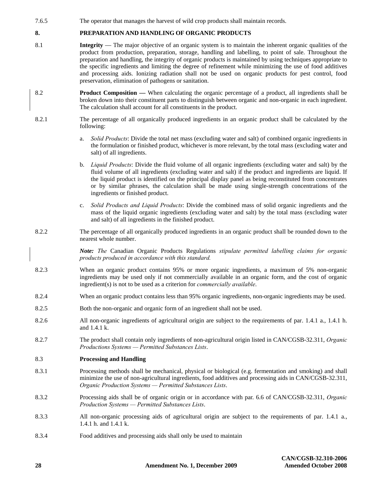7.6.5 The operator that manages the harvest of wild crop products shall maintain records.

## **8. PREPARATION AND HANDLING OF ORGANIC PRODUCTS**

- 8.1 **Integrity** The major objective of an organic system is to maintain the inherent organic qualities of the product from production, preparation, storage, handling and labelling, to point of sale. Throughout the preparation and handling, the integrity of organic products is maintained by using techniques appropriate to the specific ingredients and limiting the degree of refinement while minimizing the use of food additives and processing aids. Ionizing radiation shall not be used on organic products for pest control, food preservation, elimination of pathogens or sanitation.
- 8.2 **Product Composition** When calculating the organic percentage of a product, all ingredients shall be broken down into their constituent parts to distinguish between organic and non-organic in each ingredient. The calculation shall account for all constituents in the product.
- 8.2.1 The percentage of all organically produced ingredients in an organic product shall be calculated by the following:
	- a. *Solid Products*: Divide the total net mass (excluding water and salt) of combined organic ingredients in the formulation or finished product, whichever is more relevant, by the total mass (excluding water and salt) of all ingredients.
	- b. *Liquid Products*: Divide the fluid volume of all organic ingredients (excluding water and salt) by the fluid volume of all ingredients (excluding water and salt) if the product and ingredients are liquid. If the liquid product is identified on the principal display panel as being reconstituted from concentrates or by similar phrases, the calculation shall be made using single-strength concentrations of the ingredients or finished product.
	- c. *Solid Products and Liquid Products*: Divide the combined mass of solid organic ingredients and the mass of the liquid organic ingredients (excluding water and salt) by the total mass (excluding water and salt) of all ingredients in the finished product.
- 8.2.2 The percentage of all organically produced ingredients in an organic product shall be rounded down to the nearest whole number.

*Note: The* Canadian Organic Products Regulations *stipulate permitted labelling claims for organic products produced in accordance with this standard.* 

- 8.2.3 When an organic product contains 95% or more organic ingredients, a maximum of 5% non-organic ingredients may be used only if not commercially available in an organic form, and the cost of organic ingredient(s) is not to be used as a criterion for *commercially available*.
- 8.2.4 When an organic product contains less than 95% organic ingredients, non-organic ingredients may be used.
- 8.2.5 Both the non-organic and organic form of an ingredient shall not be used.
- 8.2.6 All non-organic ingredients of agricultural origin are subject to the requirements of par. 1.4.1 a., 1.4.1 h. and 1.4.1 k.
- 8.2.7 The product shall contain only ingredients of non-agricultural origin listed in CAN/CGSB-32.311, *Organic Productions Systems — Permitted Substances Lists*.

#### 8.3 **Processing and Handling**

- 8.3.1 Processing methods shall be mechanical, physical or biological (e.g. fermentation and smoking) and shall minimize the use of non-agricultural ingredients, food additives and processing aids in CAN/CGSB-32.311, *Organic Production Systems — Permitted Substances Lists*.
- 8.3.2 Processing aids shall be of organic origin or in accordance with par. 6.6 of CAN/CGSB-32.311, *Organic Production Systems — Permitted Substances Lists*.
- 8.3.3 All non-organic processing aids of agricultural origin are subject to the requirements of par. 1.4.1 a., 1.4.1 h. and 1.4.1 k.
- 8.3.4 Food additives and processing aids shall only be used to maintain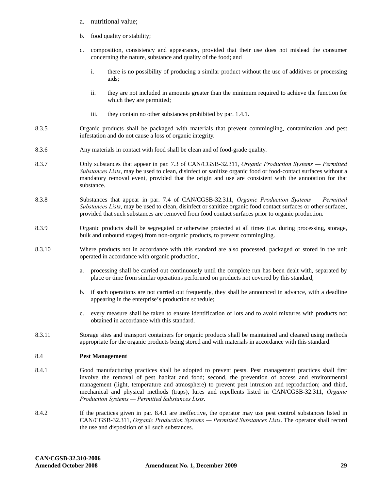- a. nutritional value;
- b. food quality or stability;
- c. composition, consistency and appearance, provided that their use does not mislead the consumer concerning the nature, substance and quality of the food; and
	- i. there is no possibility of producing a similar product without the use of additives or processing aids;
	- ii. they are not included in amounts greater than the minimum required to achieve the function for which they are permitted;
	- iii. they contain no other substances prohibited by par. 1.4.1.
- 8.3.5 Organic products shall be packaged with materials that prevent commingling, contamination and pest infestation and do not cause a loss of organic integrity.
- 8.3.6 Any materials in contact with food shall be clean and of food-grade quality.
- 8.3.7 Only substances that appear in par. 7.3 of CAN/CGSB-32.311, *Organic Production Systems Permitted Substances Lists*, may be used to clean, disinfect or sanitize organic food or food-contact surfaces without a mandatory removal event, provided that the origin and use are consistent with the annotation for that substance.
- 8.3.8 Substances that appear in par. 7.4 of CAN/CGSB-32.311, *Organic Production Systems Permitted Substances Lists*, may be used to clean, disinfect or sanitize organic food contact surfaces or other surfaces, provided that such substances are removed from food contact surfaces prior to organic production.
- 8.3.9 Organic products shall be segregated or otherwise protected at all times (i.e. during processing, storage, bulk and unbound stages) from non-organic products, to prevent commingling.
- 8.3.10 Where products not in accordance with this standard are also processed, packaged or stored in the unit operated in accordance with organic production,
	- a. processing shall be carried out continuously until the complete run has been dealt with, separated by place or time from similar operations performed on products not covered by this standard;
	- b. if such operations are not carried out frequently, they shall be announced in advance, with a deadline appearing in the enterprise's production schedule;
	- c. every measure shall be taken to ensure identification of lots and to avoid mixtures with products not obtained in accordance with this standard.
- 8.3.11 Storage sites and transport containers for organic products shall be maintained and cleaned using methods appropriate for the organic products being stored and with materials in accordance with this standard.

#### 8.4 **Pest Management**

- 8.4.1 Good manufacturing practices shall be adopted to prevent pests. Pest management practices shall first involve the removal of pest habitat and food; second, the prevention of access and environmental management (light, temperature and atmosphere) to prevent pest intrusion and reproduction; and third, mechanical and physical methods (traps), lures and repellents listed in CAN/CGSB-32.311, *Organic Production Systems — Permitted Substances Lists*.
- 8.4.2 If the practices given in par. 8.4.1 are ineffective, the operator may use pest control substances listed in CAN/CGSB-32.311, *Organic Production Systems — Permitted Substances Lists*. The operator shall record the use and disposition of all such substances.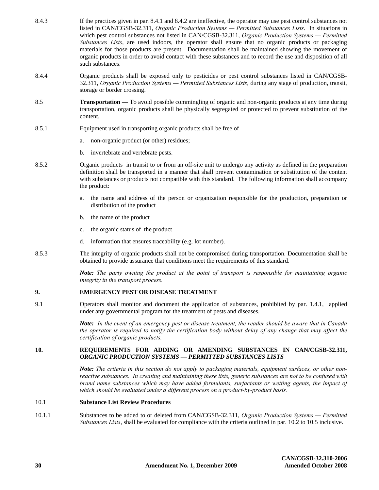- 8.4.3 If the practices given in par. 8.4.1 and 8.4.2 are ineffective, the operator may use pest control substances not listed in CAN/CGSB-32.311, *Organic Production Systems — Permitted Substances Lists*. In situations in which pest control substances not listed in CAN/CGSB-32.311, *Organic Production Systems — Permitted Substances Lists*, are used indoors, the operator shall ensure that no organic products or packaging materials for those products are present. Documentation shall be maintained showing the movement of organic products in order to avoid contact with these substances and to record the use and disposition of all such substances.
- 8.4.4 Organic products shall be exposed only to pesticides or pest control substances listed in CAN/CGSB-32.311, *Organic Production Systems — Permitted Substances Lists*, during any stage of production, transit, storage or border crossing.
- 8.5 **Transportation** To avoid possible commingling of organic and non-organic products at any time during transportation, organic products shall be physically segregated or protected to prevent substitution of the content.
- 8.5.1 Equipment used in transporting organic products shall be free of
	- a. non-organic product (or other) residues;
	- b. invertebrate and vertebrate pests.
- 8.5.2 Organic products in transit to or from an off-site unit to undergo any activity as defined in the preparation definition shall be transported in a manner that shall prevent contamination or substitution of the content with substances or products not compatible with this standard. The following information shall accompany the product:
	- a. the name and address of the person or organization responsible for the production, preparation or distribution of the product
	- b. the name of the product
	- c. the organic status of the product
	- d. information that ensures traceability (e.g. lot number).
- 8.5.3 The integrity of organic products shall not be compromised during transportation. Documentation shall be obtained to provide assurance that conditions meet the requirements of this standard.

*Note: The party owning the product at the point of transport is responsible for maintaining organic integrity in the transport process.*

## **9. EMERGENCY PEST OR DISEASE TREATMENT**

9.1 Operators shall monitor and document the application of substances, prohibited by par. 1.4.1, applied under any governmental program for the treatment of pests and diseases.

> *Note: In the event of an emergency pest or disease treatment, the reader should be aware that in Canada the operator is required to notify the certification body without delay of any change that may affect the certification of organic products.*

## **10. REQUIREMENTS FOR ADDING OR AMENDING SUBSTANCES IN CAN/CGSB-32.311,**  *ORGANIC PRODUCTION SYSTEMS — PERMITTED SUBSTANCES LISTS*

*Note: The criteria in this section do not apply to packaging materials, equipment surfaces, or other nonreactive substances. In creating and maintaining these lists, generic substances are not to be confused with brand name substances which may have added formulants, surfactants or wetting agents, the impact of which should be evaluated under a different process on a product-by-product basis.*

## 10.1 **Substance List Review Procedures**

10.1.1 Substances to be added to or deleted from CAN/CGSB-32.311, *Organic Production Systems — Permitted Substances Lists*, shall be evaluated for compliance with the criteria outlined in par. 10.2 to 10.5 inclusive.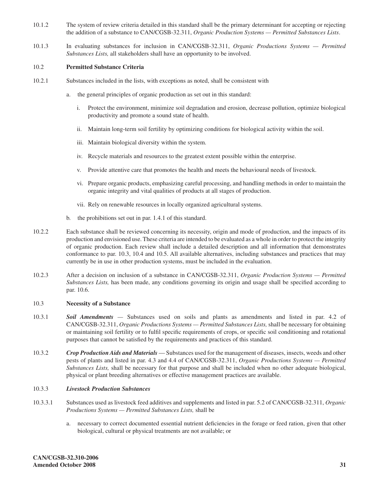- 10.1.2 The system of review criteria detailed in this standard shall be the primary determinant for accepting or rejecting the addition of a substance to CAN/CGSB-32.311, *Organic Production Systems — Permitted Substances Lists*.
- 10.1.3 In evaluating substances for inclusion in CAN/CGSB-32.311, *Organic Productions Systems Permitted Substances Lists,* all stakeholders shall have an opportunity to be involved.

## 10.2 **Permitted Substance Criteria**

- 10.2.1 Substances included in the lists, with exceptions as noted, shall be consistent with
	- a. the general principles of organic production as set out in this standard:
		- i. Protect the environment, minimize soil degradation and erosion, decrease pollution, optimize biological productivity and promote a sound state of health.
		- ii. Maintain long-term soil fertility by optimizing conditions for biological activity within the soil.
		- iii. Maintain biological diversity within the system.
		- iv. Recycle materials and resources to the greatest extent possible within the enterprise.
		- v. Provide attentive care that promotes the health and meets the behavioural needs of livestock.
		- vi. Prepare organic products, emphasizing careful processing, and handling methods in order to maintain the organic integrity and vital qualities of products at all stages of production.
		- vii. Rely on renewable resources in locally organized agricultural systems.
	- b. the prohibitions set out in par. 1.4.1 of this standard.
- 10.2.2 Each substance shall be reviewed concerning its necessity, origin and mode of production, and the impacts of its production and envisioned use. These criteria are intended to be evaluated as a whole in order to protect the integrity of organic production. Each review shall include a detailed description and all information that demonstrates conformance to par. 10.3, 10.4 and 10.5. All available alternatives, including substances and practices that may currently be in use in other production systems, must be included in the evaluation.
- 10.2.3 After a decision on inclusion of a substance in CAN/CGSB-32.311, *Organic Production Systems Permitted Substances Lists,* has been made, any conditions governing its origin and usage shall be specified according to par. 10.6.

## 10.3 **Necessity of a Substance**

- 10.3.1 *Soil Amendments —* Substances used on soils and plants as amendments and listed in par. 4.2 of CAN/CGSB-32.311, *Organic Productions Systems — Permitted Substances Lists,* shall be necessary for obtaining or maintaining soil fertility or to fulfil specific requirements of crops, or specific soil conditioning and rotational purposes that cannot be satisfied by the requirements and practices of this standard.
- 10.3.2 *Crop Production Aids and Materials* Substances used for the management of diseases, insects, weeds and other pests of plants and listed in par. 4.3 and 4.4 of CAN/CGSB-32.311, *Organic Productions Systems — Permitted Substances Lists,* shall be necessary for that purpose and shall be included when no other adequate biological, physical or plant breeding alternatives or effective management practices are available.

## 10.3.3 *Livestock Production Substances*

- 10.3.3.1 Substances used as livestock feed additives and supplements and listed in par. 5.2 of CAN/CGSB-32.311, *Organic Productions Systems — Permitted Substances Lists,* shall be
	- a. necessary to correct documented essential nutrient deficiencies in the forage or feed ration, given that other biological, cultural or physical treatments are not available; or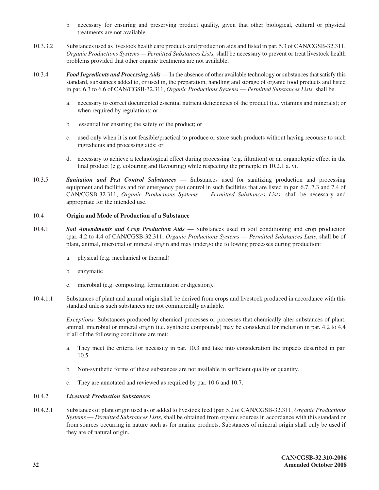- b. necessary for ensuring and preserving product quality, given that other biological, cultural or physical treatments are not available.
- 10.3.3.2 Substances used as livestock health care products and production aids and listed in par. 5.3 of CAN/CGSB-32.311, *Organic Productions Systems — Permitted Substances Lists,* shall be necessary to prevent or treat livestock health problems provided that other organic treatments are not available.
- 10.3.4 *Food Ingredients and Processing Aids*  In the absence of other available technology or substances that satisfy this standard, substances added to, or used in, the preparation, handling and storage of organic food products and listed in par. 6.3 to 6.6 of CAN/CGSB-32.311, *Organic Productions Systems* — *Permitted Substances Lists,* shall be
	- a. necessary to correct documented essential nutrient deficiencies of the product (i.e. vitamins and minerals); or when required by regulations; or
	- b. essential for ensuring the safety of the product; or
	- c. used only when it is not feasible/practical to produce or store such products without having recourse to such ingredients and processing aids; or
	- d. necessary to achieve a technological effect during processing (e.g. filtration) or an organoleptic effect in the final product (e.g. colouring and flavouring) while respecting the principle in 10.2.1 a. vi.
- 10.3.5 *Sanitation and Pest Control Substances* Substances used for sanitizing production and processing equipment and facilities and for emergency pest control in such facilities that are listed in par. 6.7, 7.3 and 7.4 of CAN/CGSB-32.311, *Organic Productions Systems* — *Permitted Substances Lists,* shall be necessary and appropriate for the intended use.

## 10.4 **Origin and Mode of Production of a Substance**

- 10.4.1 *Soil Amendments and Crop Production Aids* Substances used in soil conditioning and crop production (par. 4.2 to 4.4 of CAN/CGSB-32.311, *Organic Productions Systems* — *Permitted Substances Lists*, shall be of plant, animal, microbial or mineral origin and may undergo the following processes during production:
	- a. physical (e.g. mechanical or thermal)
	- b. enzymatic
	- c. microbial (e.g. composting, fermentation or digestion).
- 10.4.1.1 Substances of plant and animal origin shall be derived from crops and livestock produced in accordance with this standard unless such substances are not commercially available.

*Exceptions:* Substances produced by chemical processes or processes that chemically alter substances of plant, animal, microbial or mineral origin (i.e. synthetic compounds) may be considered for inclusion in par. 4.2 to 4.4 if all of the following conditions are met:

- a. They meet the criteria for necessity in par. 10.3 and take into consideration the impacts described in par. 10.5.
- b. Non-synthetic forms of these substances are not available in sufficient quality or quantity.
- c. They are annotated and reviewed as required by par. 10.6 and 10.7.

## 10.4.2 *Livestock Production Substances*

10.4.2.1 Substances of plant origin used as or added to livestock feed (par. 5.2 of CAN/CGSB-32.311, *Organic Productions Systems* — *Permitted Substances Lists*, shall be obtained from organic sources in accordance with this standard or from sources occurring in nature such as for marine products. Substances of mineral origin shall only be used if they are of natural origin.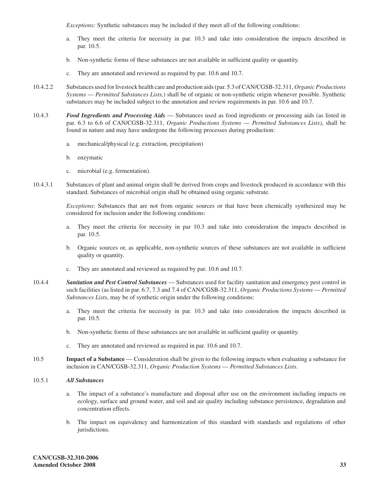*Exceptions:* Synthetic substances may be included if they meet all of the following conditions:

- a. They meet the criteria for necessity in par. 10.3 and take into consideration the impacts described in par. 10.5.
- b. Non-synthetic forms of these substances are not available in sufficient quality or quantity.
- c. They are annotated and reviewed as required by par. 10.6 and 10.7.
- 10.4.2.2 Substances used for livestock health care and production aids (par. 5.3 of CAN/CGSB-32.311, *Organic Productions Systems* — *Permitted Substances Lists,*) shall be of organic or non-synthetic origin whenever possible. Synthetic substances may be included subject to the annotation and review requirements in par. 10.6 and 10.7.
- 10.4.3 *Food Ingredients and Processing Aids*  Substances used as food ingredients or processing aids (as listed in par. 6.3 to 6.6 of CAN/CGSB-32.311, *Organic Productions Systems* — *Permitted Substances Lists)*, shall be found in nature and may have undergone the following processes during production:
	- a. mechanical/physical (e.g. extraction, precipitation)
	- b. enzymatic
	- c. microbial (e.g. fermentation).
- 10.4.3.1 Substances of plant and animal origin shall be derived from crops and livestock produced in accordance with this standard. Substances of microbial origin shall be obtained using organic substrate.

*Exceptions*: Substances that are not from organic sources or that have been chemically synthesized may be considered for inclusion under the following conditions:

- a. They meet the criteria for necessity in par 10.3 and take into consideration the impacts described in par. 10.5.
- b. Organic sources or, as applicable, non-synthetic sources of these substances are not available in sufficient quality or quantity.
- c. They are annotated and reviewed as required by par. 10.6 and 10.7.
- 10.4.4 *Sanitation and Pest Control Substances* Substances used for facility sanitation and emergency pest control in such facilities (as listed in par. 6.7, 7.3 and 7.4 of CAN/CGSB-32.311, *Organic Productions Systems* — *Permitted Substances Lists*, may be of synthetic origin under the following conditions:
	- a. They meet the criteria for necessity in par. 10.3 and take into consideration the impacts described in par. 10.5.
	- b. Non-synthetic forms of these substances are not available in sufficient quality or quantity.
	- c. They are annotated and reviewed as required in par. 10.6 and 10.7.
- 10.5 **Impact of a Substance**  Consideration shall be given to the following impacts when evaluating a substance for inclusion in CAN/CGSB-32.311, *Organic Production Systems* — *Permitted Substances Lists*.
- 10.5.1 *All Substances*
	- a. The impact of a substance's manufacture and disposal after use on the environment including impacts on ecology, surface and ground water, and soil and air quality including substance persistence, degradation and concentration effects.
	- b. The impact on equivalency and harmonization of this standard with standards and regulations of other jurisdictions.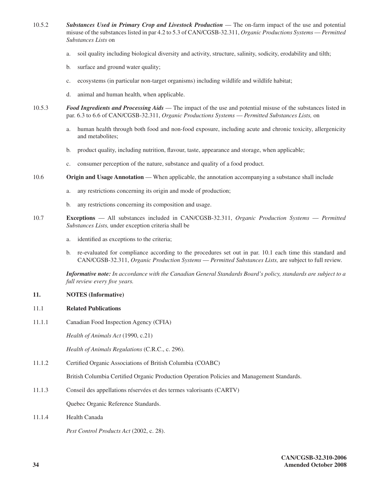- 10.5.2 *Substances Used in Primary Crop and Livestock Production* The on-farm impact of the use and potential misuse of the substances listed in par 4.2 to 5.3 of CAN/CGSB-32.311, *Organic Productions Systems* — *Permitted Substances Lists* on
	- a. soil quality including biological diversity and activity, structure, salinity, sodicity, erodability and tilth;
	- b. surface and ground water quality;
	- c. ecosystems (in particular non-target organisms) including wildlife and wildlife habitat;
	- d. animal and human health, when applicable.
- 10.5.3 *Food Ingredients and Processing Aids* The impact of the use and potential misuse of the substances listed in par. 6.3 to 6.6 of CAN/CGSB-32.311, *Organic Productions Systems* — *Permitted Substances Lists,* on
	- a. human health through both food and non-food exposure, including acute and chronic toxicity, allergenicity and metabolites;
	- b. product quality, including nutrition, flavour, taste, appearance and storage, when applicable;
	- c. consumer perception of the nature, substance and quality of a food product.
- 10.6 **Origin and Usage Annotation** When applicable, the annotation accompanying a substance shall include
	- a. any restrictions concerning its origin and mode of production;
	- b. any restrictions concerning its composition and usage.
- 10.7 **Exceptions**  All substances included in CAN/CGSB-32.311, *Organic Production Systems* — *Permitted Substances Lists,* under exception criteria shall be
	- a. identified as exceptions to the criteria;
	- b. re-evaluated for compliance according to the procedures set out in par. 10.1 each time this standard and CAN/CGSB-32.311, *Organic Production Systems* — *Permitted Substances Lists,* are subject to full review.

*Informative note: In accordance with the Canadian General Standards Board's policy, standards are subject to a full review every five years.*

## **11. NOTES (Informative)**

## 11.1 **Related Publications**

11.1.1 Canadian Food Inspection Agency (CFIA)

*Health of Animals Act* (1990, c.21)

*Health of Animals Regulations* (C.R.C., c. 296).

11.1.2 Certified Organic Associations of British Columbia (COABC)

British Columbia Certified Organic Production Operation Policies and Management Standards.

11.1.3 Conseil des appellations réservées et des termes valorisants (CARTV)

Quebec Organic Reference Standards.

11.1.4 Health Canada

*Pest Control Products Act* (2002, c. 28).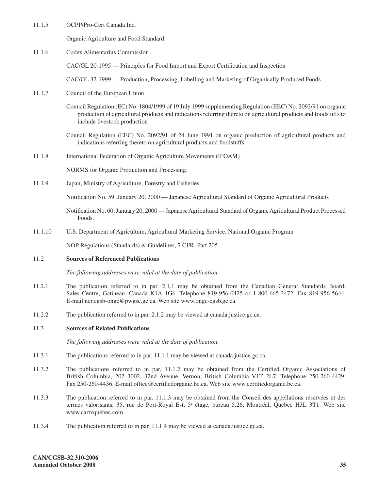11.1.5 OCPP/Pro-Cert Canada Inc.

Organic Agriculture and Food Standard.

11.1.6 Codex Alimentarius Commission

CAC/GL 20-1995 — Principles for Food Import and Export Certification and Inspection

CAC/GL 32-1999 — Production, Processing, Labelling and Marketing of Organically Produced Foods.

- 11.1.7 Council of the European Union
	- Council Regulation (EC) No. 1804/1999 of 19 July 1999 supplementing Regulation (EEC) No. 2092/91 on organic production of agricultural products and indications referring thereto on agricultural products and foodstuffs to include livestock production
	- Council Regulation (EEC) No. 2092/91 of 24 June 1991 on organic production of agricultural products and indications referring thereto on agricultural products and foodstuffs.
- 11.1.8 International Federation of Organic Agriculture Movements (IFOAM)

NORMS for Organic Production and Processing.

11.1.9 Japan, Ministry of Agriculture, Forestry and Fisheries

Notification No. 59, January 20, 2000 — Japanese Agricultural Standard of Organic Agricultural Products

Notification No. 60, January 20, 2000 — Japanese Agricultural Standard of Organic Agricultural Product Processed Foods.

11.1.10 U.S. Department of Agriculture, Agricultural Marketing Service, National Organic Program

NOP Regulations (Standards) & Guidelines, 7 CFR, Part 205.

## 11.2 **Sources of Referenced Publications**

*The following addresses were valid at the date of publication.*

- 11.2.1 The publication referred to in par. 2.1.1 may be obtained from the Canadian General Standards Board, Sales Centre, Gatineau, Canada K1A 1G6. Telephone 819-956-0425 or 1-800-665-2472. Fax 819-956-5644. E-mail ncr.cgsb-ongc@pwgsc.gc.ca. Web site www.ongc-cgsb.gc.ca.
- 11.2.2 The publication referred to in par. 2.1.2 may be viewed at canada.justice.gc.ca.

## 11.3 **Sources of Related Publications**

*The following addresses were valid at the date of publication.*

- 11.3.1 The publications referred to in par. 11.1.1 may be viewed at canada.justice.gc.ca.
- 11.3.2 The publications referred to in par. 11.1.2 may be obtained from the Certified Organic Associations of British Columbia, 202 3002, 32nd Avenue, Vernon, British Columbia V1T 2L7. Telephone 250-260-4429. Fax 250-260-4436. E-mail office@certifiedorganic.bc.ca. Web site www.certifiedorganic.bc.ca.
- 11.3.3 The publication referred to in par. 11.1.3 may be obtained from the Conseil des appellations réservées et des termes valorisants, 35, rue de Port-Royal Est, 5<sup>e</sup> étage, bureau 5.26, Montréal, Quebec H3L 3T1. Web site www.cartvquebec.com.
- 11.3.4 The publication referred to in par. 11.1.4 may be viewed at canada.justice.gc.ca.